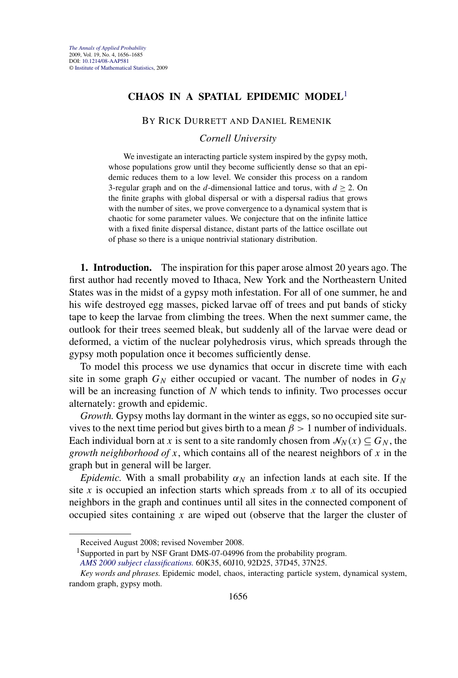# **CHAOS IN A SPATIAL EPIDEMIC MODEL**<sup>1</sup>

### BY RICK DURRETT AND DANIEL REMENIK

### *Cornell University*

We investigate an interacting particle system inspired by the gypsy moth, whose populations grow until they become sufficiently dense so that an epidemic reduces them to a low level. We consider this process on a random 3-regular graph and on the *d*-dimensional lattice and torus, with  $d \ge 2$ . On the finite graphs with global dispersal or with a dispersal radius that grows with the number of sites, we prove convergence to a dynamical system that is chaotic for some parameter values. We conjecture that on the infinite lattice with a fixed finite dispersal distance, distant parts of the lattice oscillate out of phase so there is a unique nontrivial stationary distribution.

**1. Introduction.** The inspiration for this paper arose almost 20 years ago. The first author had recently moved to Ithaca, New York and the Northeastern United States was in the midst of a gypsy moth infestation. For all of one summer, he and his wife destroyed egg masses, picked larvae off of trees and put bands of sticky tape to keep the larvae from climbing the trees. When the next summer came, the outlook for their trees seemed bleak, but suddenly all of the larvae were dead or deformed, a victim of the nuclear polyhedrosis virus, which spreads through the gypsy moth population once it becomes sufficiently dense.

To model this process we use dynamics that occur in discrete time with each site in some graph  $G_N$  either occupied or vacant. The number of nodes in  $G_N$ will be an increasing function of *N* which tends to infinity. Two processes occur alternately: growth and epidemic.

*Growth.* Gypsy moths lay dormant in the winter as eggs, so no occupied site survives to the next time period but gives birth to a mean  $\beta > 1$  number of individuals. Each individual born at *x* is sent to a site randomly chosen from  $\mathcal{N}_N(x) \subseteq G_N$ , the *growth neighborhood of x*, which contains all of the nearest neighbors of *x* in the graph but in general will be larger.

*Epidemic.* With a small probability  $\alpha_N$  an infection lands at each site. If the site *x* is occupied an infection starts which spreads from *x* to all of its occupied neighbors in the graph and continues until all sites in the connected component of occupied sites containing *x* are wiped out (observe that the larger the cluster of

Received August 2008; revised November 2008.

<sup>&</sup>lt;sup>1</sup>Supported in part by NSF Grant DMS-07-04996 from the probability program.

*[AMS 2000 subject classifications.](http://www.ams.org/msc/)* 60K35, 60J10, 92D25, 37D45, 37N25.

*Key words and phrases.* Epidemic model, chaos, interacting particle system, dynamical system, random graph, gypsy moth.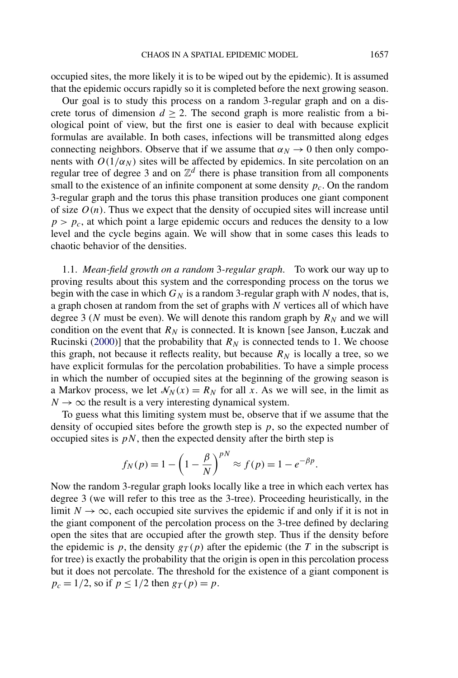occupied sites, the more likely it is to be wiped out by the epidemic). It is assumed that the epidemic occurs rapidly so it is completed before the next growing season.

Our goal is to study this process on a random 3-regular graph and on a discrete torus of dimension  $d \geq 2$ . The second graph is more realistic from a biological point of view, but the first one is easier to deal with because explicit formulas are available. In both cases, infections will be transmitted along edges connecting neighbors. Observe that if we assume that  $\alpha_N \to 0$  then only components with  $O(1/\alpha_N)$  sites will be affected by epidemics. In site percolation on an regular tree of degree 3 and on  $\mathbb{Z}^d$  there is phase transition from all components small to the existence of an infinite component at some density  $p_c$ . On the random 3-regular graph and the torus this phase transition produces one giant component of size  $O(n)$ . Thus we expect that the density of occupied sites will increase until  $p>p_c$ , at which point a large epidemic occurs and reduces the density to a low level and the cycle begins again. We will show that in some cases this leads to chaotic behavior of the densities.

1.1. *Mean-field growth on a random* 3*-regular graph*. To work our way up to proving results about this system and the corresponding process on the torus we begin with the case in which  $G_N$  is a random 3-regular graph with  $N$  nodes, that is, a graph chosen at random from the set of graphs with *N* vertices all of which have degree 3 ( $N$  must be even). We will denote this random graph by  $R_N$  and we will condition on the event that  $R_N$  is connected. It is known [see Janson, Łuczak and Rucinski [\(2000\)](#page-29-0)] that the probability that  $R_N$  is connected tends to 1. We choose this graph, not because it reflects reality, but because  $R_N$  is locally a tree, so we have explicit formulas for the percolation probabilities. To have a simple process in which the number of occupied sites at the beginning of the growing season is a Markov process, we let  $\mathcal{N}_N(x) = R_N$  for all *x*. As we will see, in the limit as  $N \rightarrow \infty$  the result is a very interesting dynamical system.

To guess what this limiting system must be, observe that if we assume that the density of occupied sites before the growth step is *p*, so the expected number of occupied sites is  $pN$ , then the expected density after the birth step is

$$
f_N(p) = 1 - \left(1 - \frac{\beta}{N}\right)^{pN} \approx f(p) = 1 - e^{-\beta p}.
$$

Now the random 3-regular graph looks locally like a tree in which each vertex has degree 3 (we will refer to this tree as the 3-tree). Proceeding heuristically, in the limit  $N \to \infty$ , each occupied site survives the epidemic if and only if it is not in the giant component of the percolation process on the 3-tree defined by declaring open the sites that are occupied after the growth step. Thus if the density before the epidemic is *p*, the density  $g_T(p)$  after the epidemic (the *T* in the subscript is for tree) is exactly the probability that the origin is open in this percolation process but it does not percolate. The threshold for the existence of a giant component is  $p_c = 1/2$ , so if  $p \le 1/2$  then  $g_T(p) = p$ .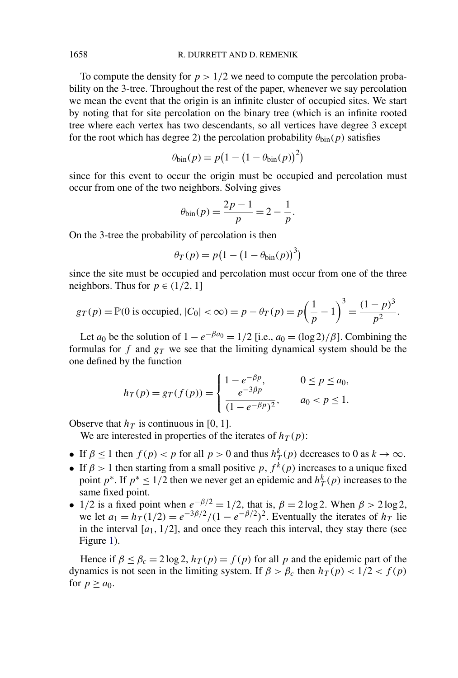To compute the density for  $p > 1/2$  we need to compute the percolation probability on the 3-tree. Throughout the rest of the paper, whenever we say percolation we mean the event that the origin is an infinite cluster of occupied sites. We start by noting that for site percolation on the binary tree (which is an infinite rooted tree where each vertex has two descendants, so all vertices have degree 3 except for the root which has degree 2) the percolation probability  $\theta_{\text{bin}}(p)$  satisfies

$$
\theta_{\text{bin}}(p) = p(1 - (1 - \theta_{\text{bin}}(p))^2)
$$

since for this event to occur the origin must be occupied and percolation must occur from one of the two neighbors. Solving gives

$$
\theta_{\text{bin}}(p) = \frac{2p-1}{p} = 2 - \frac{1}{p}.
$$

On the 3-tree the probability of percolation is then

$$
\theta_T(p) = p(1 - (1 - \theta_{\text{bin}}(p))^3)
$$

since the site must be occupied and percolation must occur from one of the three neighbors. Thus for  $p \in (1/2, 1]$ 

$$
g_T(p) = \mathbb{P}(0 \text{ is occupied}, |C_0| < \infty) = p - \theta_T(p) = p\left(\frac{1}{p} - 1\right)^3 = \frac{(1 - p)^3}{p^2}.
$$

Let *a*<sub>0</sub> be the solution of  $1 - e^{-\beta a_0} = 1/2$  [i.e.,  $a_0 = (\log 2)/\beta$ ]. Combining the formulas for  $f$  and  $g_T$  we see that the limiting dynamical system should be the one defined by the function

$$
h_T(p) = g_T(f(p)) = \begin{cases} 1 - e^{-\beta p}, & 0 \le p \le a_0, \\ \frac{e^{-3\beta p}}{(1 - e^{-\beta p})^2}, & a_0 < p \le 1. \end{cases}
$$

Observe that  $h_T$  is continuous in [0, 1].

We are interested in properties of the iterates of  $h_T(p)$ :

- If  $\beta \le 1$  then  $f(p) < p$  for all  $p > 0$  and thus  $h^k(T(p))$  decreases to 0 as  $k \to \infty$ .
- If  $\beta > 1$  then starting from a small positive *p*,  $f^{\hat{k}}(p)$  increases to a unique fixed point  $p^*$ . If  $p^* \leq 1/2$  then we never get an epidemic and  $h^k(T)$  increases to the same fixed point.
- 1/2 is a fixed point when  $e^{-\beta/2} = 1/2$ , that is,  $\beta = 2 \log 2$ . When  $\beta > 2 \log 2$ , we let  $a_1 = h_T(1/2) = e^{-3\beta/2}/(1 - e^{-\beta/2})^2$ . Eventually the iterates of  $h_T$  lie in the interval  $[a_1, 1/2]$ , and once they reach this interval, they stay there (see Figure [1\)](#page-3-0).

Hence if  $\beta \le \beta_c = 2 \log 2$ ,  $h_T(p) = f(p)$  for all p and the epidemic part of the dynamics is not seen in the limiting system. If  $\beta > \beta_c$  then  $h_T(p) < 1/2 < f(p)$ for  $p \ge a_0$ .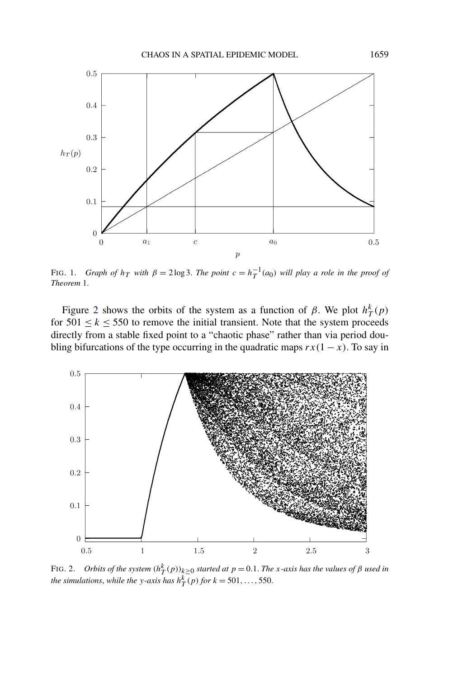<span id="page-3-0"></span>

FIG. 1. *Graph of*  $h_T$  *with*  $\beta = 2 \log 3$ . *The point*  $c = h_T^{-1}(a_0)$  *will play a role in the proof of Theorem* [1.](#page-4-0)

Figure 2 shows the orbits of the system as a function of  $\beta$ . We plot  $h_T^k(p)$ for  $501 \le k \le 550$  to remove the initial transient. Note that the system proceeds directly from a stable fixed point to a "chaotic phase" rather than via period doubling bifurcations of the type occurring in the quadratic maps  $rx(1 - x)$ . To say in



FIG. 2. *Orbits of the system*  $(h_T^k(p))_{k\geq 0}$  *started at*  $p = 0.1$ *. The x-axis has the values of*  $\beta$  *used in the simulations, while the y*-axis has  $h<sup>k</sup><sub>T</sub>(p)$  *for*  $k = 501, ..., 550$ .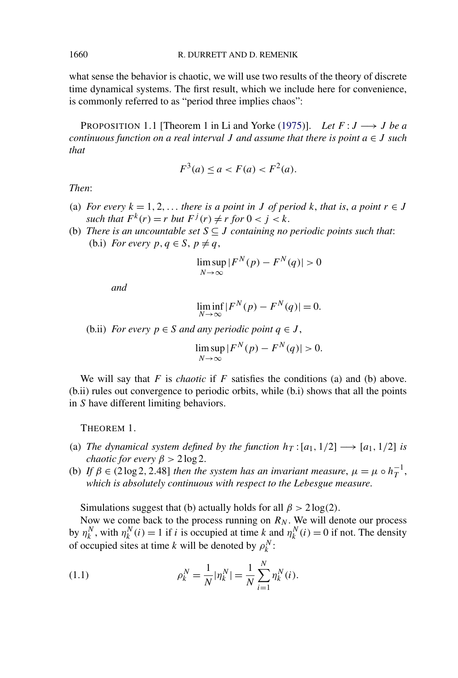what sense the behavior is chaotic, we will use two results of the theory of discrete time dynamical systems. The first result, which we include here for convenience, is commonly referred to as "period three implies chaos":

PROPOSITION 1.1 [Theorem 1 in Li and Yorke [\(1975\)](#page-29-0)]. *Let*  $F: J \longrightarrow J$  *be a continuous function on a real interval J and assume that there is point a* ∈ *J such that*

$$
F^{3}(a) \le a < F(a) < F^{2}(a).
$$

*Then*:

- (a) *For every*  $k = 1, 2, \ldots$  *there is a point in J of period*  $k$ *, that is, a point*  $r \in J$ *such that*  $F^k(r) = r$  *but*  $F^j(r) \neq r$  *for*  $0 < j < k$ .
- (b) *There is an uncountable set*  $S \subseteq J$  *containing no periodic points such that:* (b.i) *For every*  $p, q \in S, p \neq q$ ,

$$
\limsup_{N \to \infty} |F^N(p) - F^N(q)| > 0
$$

*and*

$$
\liminf_{N \to \infty} |F^N(p) - F^N(q)| = 0.
$$

(b.ii) *For every*  $p \in S$  *and any periodic point*  $q \in J$ ,

$$
\limsup_{N \to \infty} |F^N(p) - F^N(q)| > 0.
$$

We will say that  $F$  is *chaotic* if  $F$  satisfies the conditions (a) and (b) above. (b.ii) rules out convergence to periodic orbits, while (b.i) shows that all the points in *S* have different limiting behaviors.

THEOREM 1.

- (a) *The dynamical system defined by the function*  $h_T$  :  $[a_1, 1/2] \rightarrow [a_1, 1/2]$  *is chaotic for every*  $\beta > 2 \log 2$ .
- (b) *If*  $\beta \in (2 \log 2, 2.48]$  *then the system has an invariant measure*,  $\mu = \mu \circ h_T^{-1}$ , *which is absolutely continuous with respect to the Lebesgue measure*.

Simulations suggest that (b) actually holds for all  $\beta$  > 2 log(2).

Now we come back to the process running on  $R_N$ . We will denote our process by  $\eta_k^N$ , with  $\eta_k^N(i) = 1$  if *i* is occupied at time *k* and  $\eta_k^N(i) = 0$  if not. The density of occupied sites at time *k* will be denoted by  $\rho_k^N$ :

(1.1) 
$$
\rho_k^N = \frac{1}{N} |\eta_k^N| = \frac{1}{N} \sum_{i=1}^N \eta_k^N(i).
$$

<span id="page-4-0"></span>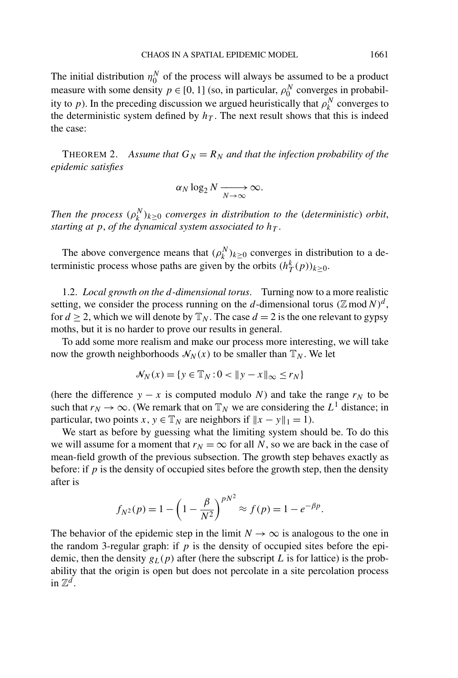<span id="page-5-0"></span>The initial distribution  $\eta_0^N$  of the process will always be assumed to be a product measure with some density  $p \in [0, 1]$  (so, in particular,  $\rho_0^N$  converges in probability to *p*). In the preceding discussion we argued heuristically that  $\rho_k^N$  converges to the deterministic system defined by  $h<sub>T</sub>$ . The next result shows that this is indeed the case:

THEOREM 2. Assume that  $G_N = R_N$  and that the infection probability of the *epidemic satisfies*

$$
\alpha_N \log_2 N \xrightarrow[N \to \infty]{} \infty.
$$

*Then the process*  $(\rho_k^N)_{k \geq 0}$  *converges in distribution to the (deterministic) orbit, starting at*  $p$ , *of the dynamical system associated to*  $h<sub>T</sub>$ .

The above convergence means that  $(\rho_k^N)_{k \geq 0}$  converges in distribution to a deterministic process whose paths are given by the orbits  $(h_T^k(p))_{k \geq 0}$ .

1.2. *Local growth on the d-dimensional torus*. Turning now to a more realistic setting, we consider the process running on the *d*-dimensional torus  $(\mathbb{Z} \text{ mod } N)^d$ , for  $d \ge 2$ , which we will denote by  $\mathbb{T}_N$ . The case  $d = 2$  is the one relevant to gypsy moths, but it is no harder to prove our results in general.

To add some more realism and make our process more interesting, we will take now the growth neighborhoods  $\mathcal{N}_N(x)$  to be smaller than  $\mathbb{T}_N$ . We let

$$
\mathcal{N}_N(x) = \{ y \in \mathbb{T}_N : 0 < \| y - x \|_\infty \le r_N \}
$$

(here the difference  $y - x$  is computed modulo *N*) and take the range  $r<sub>N</sub>$  to be such that  $r_N \to \infty$ . (We remark that on  $\mathbb{T}_N$  we are considering the  $L^1$  distance; in particular, two points *x*,  $y \in \mathbb{T}_N$  are neighbors if  $||x - y||_1 = 1$ .

We start as before by guessing what the limiting system should be. To do this we will assume for a moment that  $r_N = \infty$  for all N, so we are back in the case of mean-field growth of the previous subsection. The growth step behaves exactly as before: if *p* is the density of occupied sites before the growth step, then the density after is

$$
f_{N^2}(p) = 1 - \left(1 - \frac{\beta}{N^2}\right)^{pN^2} \approx f(p) = 1 - e^{-\beta p}.
$$

The behavior of the epidemic step in the limit  $N \to \infty$  is analogous to the one in the random 3-regular graph: if  $p$  is the density of occupied sites before the epidemic, then the density  $g_L(p)$  after (here the subscript L is for lattice) is the probability that the origin is open but does not percolate in a site percolation process in  $\mathbb{Z}^d$ .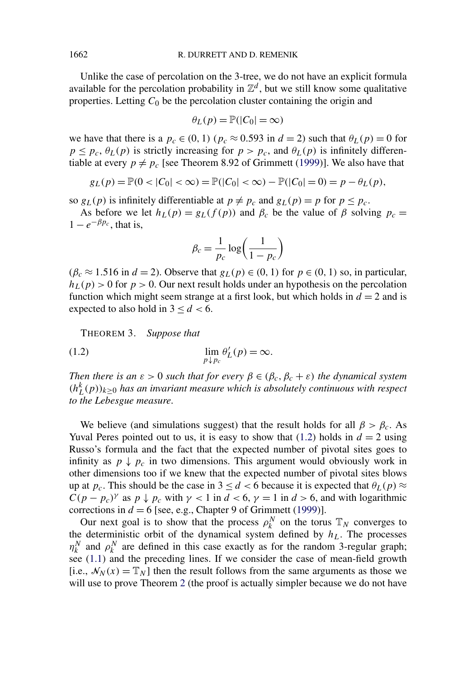<span id="page-6-0"></span>Unlike the case of percolation on the 3-tree, we do not have an explicit formula available for the percolation probability in  $\mathbb{Z}^d$ , but we still know some qualitative properties. Letting  $C_0$  be the percolation cluster containing the origin and

$$
\theta_L(p) = \mathbb{P}(|C_0| = \infty)
$$

we have that there is a  $p_c \in (0, 1)$  ( $p_c \approx 0.593$  in  $d = 2$ ) such that  $\theta_L(p) = 0$  for  $p \leq p_c$ ,  $\theta_L(p)$  is strictly increasing for  $p > p_c$ , and  $\theta_L(p)$  is infinitely differentiable at every  $p \neq p_c$  [see Theorem 8.92 of Grimmett [\(1999\)](#page-28-0)]. We also have that

$$
g_L(p) = \mathbb{P}(0 < |C_0| < \infty) = \mathbb{P}(|C_0| < \infty) - \mathbb{P}(|C_0| = 0) = p - \theta_L(p),
$$

so  $g_L(p)$  is infinitely differentiable at  $p \neq p_c$  and  $g_L(p) = p$  for  $p \leq p_c$ .

As before we let  $h_L(p) = g_L(f(p))$  and  $\beta_c$  be the value of  $\beta$  solving  $p_c =$  $1 - e^{-\beta p_c}$ , that is,

$$
\beta_c = \frac{1}{p_c} \log \left( \frac{1}{1 - p_c} \right)
$$

 $(\beta_c \approx 1.516 \text{ in } d = 2)$ . Observe that  $g_L(p) \in (0, 1)$  for  $p \in (0, 1)$  so, in particular,  $h_L(p) > 0$  for  $p > 0$ . Our next result holds under an hypothesis on the percolation function which might seem strange at a first look, but which holds in  $d = 2$  and is expected to also hold in  $3 < d < 6$ .

THEOREM 3. *Suppose that*

(1.2) 
$$
\lim_{p \downarrow p_c} \theta'_L(p) = \infty.
$$

*Then there is an*  $\varepsilon > 0$  *such that for every*  $\beta \in (\beta_c, \beta_c + \varepsilon)$  *the dynamical system*  $(h_L^k(p))_{k\geq 0}$  *has an invariant measure which is absolutely continuous with respect to the Lebesgue measure*.

We believe (and simulations suggest) that the result holds for all  $\beta > \beta_c$ . As Yuval Peres pointed out to us, it is easy to show that  $(1.2)$  holds in  $d = 2$  using Russo's formula and the fact that the expected number of pivotal sites goes to infinity as  $p \downarrow p_c$  in two dimensions. This argument would obviously work in other dimensions too if we knew that the expected number of pivotal sites blows up at  $p_c$ . This should be the case in  $3 \le d < 6$  because it is expected that  $\theta_L(p) \approx$  $C(p - p_c)^\gamma$  as  $p \downarrow p_c$  with  $\gamma < 1$  in  $d < 6$ ,  $\gamma = 1$  in  $d > 6$ , and with logarithmic corrections in  $d = 6$  [see, e.g., Chapter 9 of Grimmett [\(1999\)](#page-28-0)].

Our next goal is to show that the process  $\rho_k^N$  on the torus  $\mathbb{T}_N$  converges to the deterministic orbit of the dynamical system defined by  $h<sub>L</sub>$ . The processes  $\eta_k^N$  and  $\rho_k^N$  are defined in this case exactly as for the random 3-regular graph; see [\(1.1\)](#page-4-0) and the preceding lines. If we consider the case of mean-field growth [i.e.,  $\mathcal{N}_N(x) = \mathbb{T}_N$ ] then the result follows from the same arguments as those we will use to prove Theorem [2](#page-5-0) (the proof is actually simpler because we do not have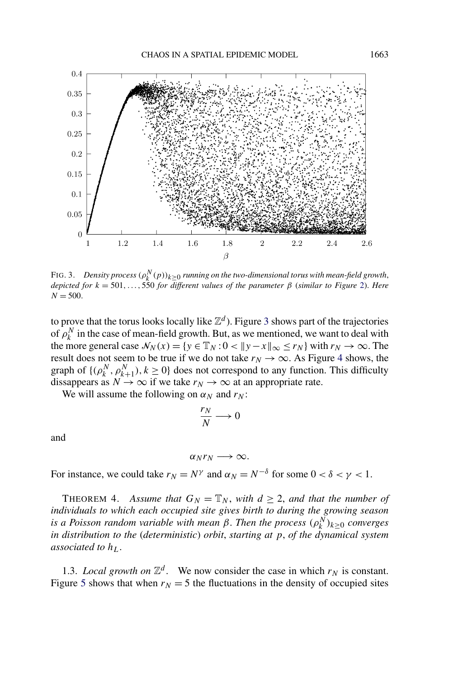<span id="page-7-0"></span>

FIG. 3. *Density process*  $(\rho_k^N(p))_{k\geq 0}$  *running on the two-dimensional torus with mean-field growth*, *depicted for*  $k = 501, \ldots, 550$  *for different values of the parameter*  $\beta$  (*similar to Figure* [2\)](#page-3-0). *Here*  $N = 500$ .

to prove that the torus looks locally like  $\mathbb{Z}^d$ ). Figure 3 shows part of the trajectories of  $\rho_k^N$  in the case of mean-field growth. But, as we mentioned, we want to deal with the more general case  $\mathcal{N}_N(x) = \{y \in \mathbb{T}_N : 0 < ||y - x||_\infty \le r_N\}$  with  $r_N \to \infty$ . The result does not seem to be true if we do not take  $r_N \to \infty$ . As Figure [4](#page-8-0) shows, the graph of  $\{(\rho_k^N, \rho_{k+1}^N), k \ge 0\}$  does not correspond to any function. This difficulty dissappears as  $N \to \infty$  if we take  $r_N \to \infty$  at an appropriate rate.

We will assume the following on  $\alpha_N$  and  $r_N$ :

$$
\frac{r_N}{N} \longrightarrow 0
$$

and

 $\alpha_N r_N \longrightarrow \infty$ .

For instance, we could take  $r_N = N^\gamma$  and  $\alpha_N = N^{-\delta}$  for some  $0 < \delta < \gamma < 1$ .

THEOREM 4. Assume that  $G_N = \mathbb{T}_N$ , with  $d \geq 2$ , and that the number of *individuals to which each occupied site gives birth to during the growing season is a Poisson random variable with mean β. Then the process*  $(ρ<sub>k</sub><sup>N</sup>)<sub>k≥0</sub>$  *converges in distribution to the* (*deterministic*) *orbit*, *starting at p*, *of the dynamical system associated to*  $h<sub>L</sub>$ .

1.3. *Local growth on*  $\mathbb{Z}^d$ . We now consider the case in which  $r_N$  is constant. Figure [5](#page-8-0) shows that when  $r_N = 5$  the fluctuations in the density of occupied sites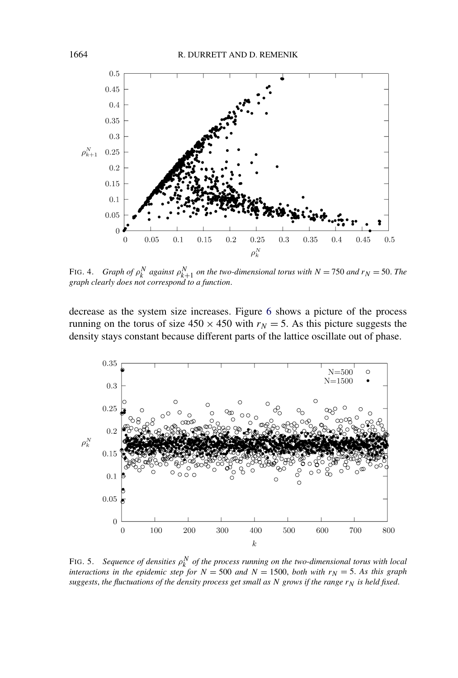<span id="page-8-0"></span>

FIG. 4. *Graph of*  $\rho_k^N$  *against*  $\rho_{k+1}^N$  *on the two-dimensional torus with*  $N = 750$  *and*  $r_N = 50$ *. The graph clearly does not correspond to a function*.

decrease as the system size increases. Figure [6](#page-9-0) shows a picture of the process running on the torus of size  $450 \times 450$  with  $r_N = 5$ . As this picture suggests the density stays constant because different parts of the lattice oscillate out of phase.



FIG. 5. *Sequence of densities ρ<sup>N</sup> <sup>k</sup> of the process running on the two-dimensional torus with local interactions in the epidemic step for*  $N = 500$  *and*  $N = 1500$ , *both with*  $r_N = 5$ . As this graph *suggests, the fluctuations of the density process get small as*  $N$  *grows if the range*  $r_N$  *is held fixed.*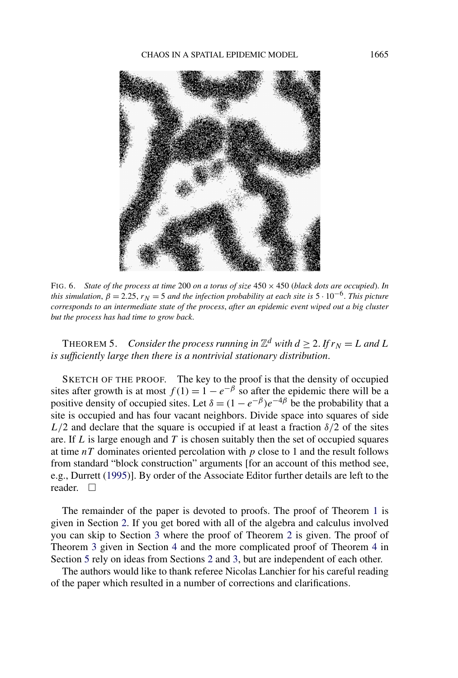<span id="page-9-0"></span>

FIG. 6. *State of the process at time* 200 *on a torus of size* 450 × 450 (*black dots are occupied*). *In this simulation,*  $\beta = 2.25$ ,  $r_N = 5$  *and the infection probability at each site is*  $5 \cdot 10^{-6}$ . *This picture corresponds to an intermediate state of the process*, *after an epidemic event wiped out a big cluster but the process has had time to grow back*.

THEOREM 5. *Consider the process running in*  $\mathbb{Z}^d$  *with*  $d > 2$ . If  $r_N = L$  and L *is sufficiently large then there is a nontrivial stationary distribution*.

SKETCH OF THE PROOF. The key to the proof is that the density of occupied sites after growth is at most  $f(1) = 1 - e^{-\beta}$  so after the epidemic there will be a positive density of occupied sites. Let  $\delta = (1 - e^{-\beta})e^{-4\beta}$  be the probability that a site is occupied and has four vacant neighbors. Divide space into squares of side  $L/2$  and declare that the square is occupied if at least a fraction  $\delta/2$  of the sites are. If *L* is large enough and *T* is chosen suitably then the set of occupied squares at time *nT* dominates oriented percolation with *p* close to 1 and the result follows from standard "block construction" arguments [for an account of this method see, e.g., Durrett [\(1995\)](#page-28-0)]. By order of the Associate Editor further details are left to the reader.  $\square$ 

The remainder of the paper is devoted to proofs. The proof of Theorem [1](#page-4-0) is given in Section [2.](#page-10-0) If you get bored with all of the algebra and calculus involved you can skip to Section [3](#page-14-0) where the proof of Theorem [2](#page-5-0) is given. The proof of Theorem [3](#page-6-0) given in Section [4](#page-19-0) and the more complicated proof of Theorem [4](#page-7-0) in Section [5](#page-20-0) rely on ideas from Sections [2](#page-10-0) and [3,](#page-14-0) but are independent of each other.

The authors would like to thank referee Nicolas Lanchier for his careful reading of the paper which resulted in a number of corrections and clarifications.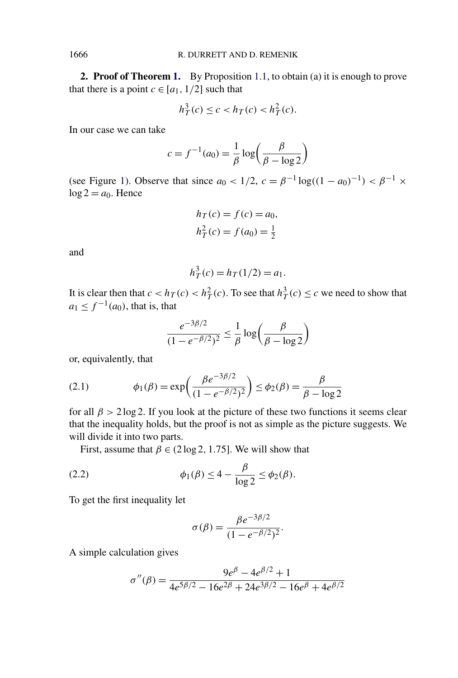**2. Proof of Theorem [1.](#page-4-0)** By Proposition [1.1,](#page-4-0) to obtain (a) it is enough to prove that there is a point  $c \in [a_1, 1/2]$  such that

$$
h_T^3(c) \le c < h_T(c) < h_T^2(c).
$$

In our case we can take

$$
c = f^{-1}(a_0) = \frac{1}{\beta} \log \left( \frac{\beta}{\beta - \log 2} \right)
$$

(see Figure [1\)](#page-3-0). Observe that since  $a_0 < 1/2$ ,  $c = \beta^{-1} \log((1 - a_0)^{-1}) < \beta^{-1} \times$  $log 2 = a_0$ . Hence

$$
h_T(c) = f(c) = a_0,
$$
  

$$
h_T2(c) = f(a_0) = \frac{1}{2}
$$

and

$$
h_T^3(c) = h_T(1/2) = a_1.
$$

It is clear then that  $c < h_T(c) < h_T^2(c)$ . To see that  $h_T^3(c) \le c$  we need to show that  $a_1 \leq f^{-1}(a_0)$ , that is, that

$$
\frac{e^{-3\beta/2}}{(1 - e^{-\beta/2})^2} \le \frac{1}{\beta} \log \left(\frac{\beta}{\beta - \log 2}\right)
$$

or, equivalently, that

(2.1) 
$$
\phi_1(\beta) = \exp\left(\frac{\beta e^{-3\beta/2}}{(1 - e^{-\beta/2})^2}\right) \le \phi_2(\beta) = \frac{\beta}{\beta - \log 2}
$$

for all  $\beta$  > 2 log 2. If you look at the picture of these two functions it seems clear that the inequality holds, but the proof is not as simple as the picture suggests. We will divide it into two parts.

First, assume that  $\beta \in (2 \log 2, 1.75]$ . We will show that

$$
\phi_1(\beta) \le 4 - \frac{\beta}{\log 2} \le \phi_2(\beta).
$$

To get the first inequality let

$$
\sigma(\beta) = \frac{\beta e^{-3\beta/2}}{(1 - e^{-\beta/2})^2}.
$$

A simple calculation gives

$$
\sigma''(\beta) = \frac{9e^{\beta} - 4e^{\beta/2} + 1}{4e^{5\beta/2} - 16e^{2\beta} + 24e^{3\beta/2} - 16e^{\beta} + 4e^{\beta/2}}
$$

<span id="page-10-0"></span>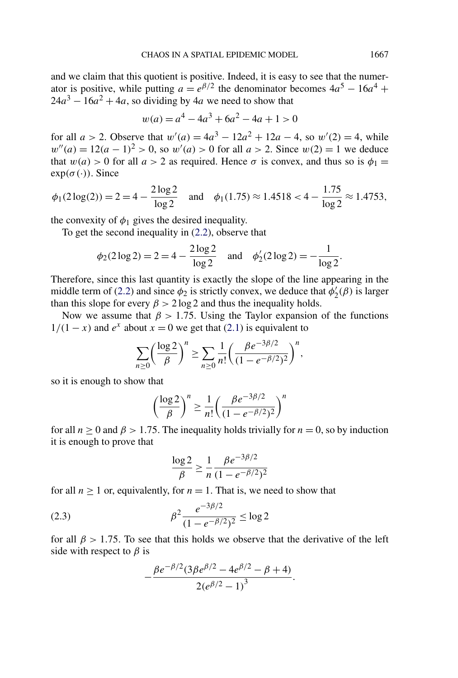<span id="page-11-0"></span>and we claim that this quotient is positive. Indeed, it is easy to see that the numerator is positive, while putting  $a = e^{\beta/2}$  the denominator becomes  $4a^5 - 16a^4 +$  $24a^3 - 16a^2 + 4a$ , so dividing by 4*a* we need to show that

$$
w(a) = a^4 - 4a^3 + 6a^2 - 4a + 1 > 0
$$

for all  $a > 2$ . Observe that  $w'(a) = 4a^3 - 12a^2 + 12a - 4$ , so  $w'(2) = 4$ , while  $w''(a) = 12(a-1)^2 > 0$ , so  $w'(a) > 0$  for all  $a > 2$ . Since  $w(2) = 1$  we deduce that  $w(a) > 0$  for all  $a > 2$  as required. Hence  $\sigma$  is convex, and thus so is  $\phi_1 =$  $exp(\sigma(\cdot))$ . Since

$$
\phi_1(2\log(2)) = 2 = 4 - \frac{2\log 2}{\log 2}
$$
 and  $\phi_1(1.75) \approx 1.4518 < 4 - \frac{1.75}{\log 2} \approx 1.4753$ ,

the convexity of  $\phi_1$  gives the desired inequality.

To get the second inequality in [\(2.2\)](#page-10-0), observe that

$$
\phi_2(2\log 2) = 2 = 4 - \frac{2\log 2}{\log 2}
$$
 and  $\phi'_2(2\log 2) = -\frac{1}{\log 2}$ .

Therefore, since this last quantity is exactly the slope of the line appearing in the middle term of [\(2.2\)](#page-10-0) and since  $\phi_2$  is strictly convex, we deduce that  $\phi'_2(\beta)$  is larger than this slope for every  $\beta > 2 \log 2$  and thus the inequality holds.

Now we assume that  $\beta$  > 1.75. Using the Taylor expansion of the functions  $1/(1-x)$  and  $e^x$  about  $x = 0$  we get that [\(2.1\)](#page-10-0) is equivalent to

$$
\sum_{n\geq 0} \left(\frac{\log 2}{\beta}\right)^n \geq \sum_{n\geq 0} \frac{1}{n!} \left(\frac{\beta e^{-3\beta/2}}{(1 - e^{-\beta/2})^2}\right)^n,
$$

so it is enough to show that

$$
\left(\frac{\log 2}{\beta}\right)^n \ge \frac{1}{n!} \left(\frac{\beta e^{-3\beta/2}}{(1 - e^{-\beta/2})^2}\right)^n
$$

for all  $n \ge 0$  and  $\beta > 1.75$ . The inequality holds trivially for  $n = 0$ , so by induction it is enough to prove that

$$
\frac{\log 2}{\beta} \ge \frac{1}{n} \frac{\beta e^{-3\beta/2}}{(1 - e^{-\beta/2})^2}
$$

for all  $n > 1$  or, equivalently, for  $n = 1$ . That is, we need to show that

(2.3) 
$$
\beta^2 \frac{e^{-3\beta/2}}{(1 - e^{-\beta/2})^2} \le \log 2
$$

for all  $\beta$  > 1.75. To see that this holds we observe that the derivative of the left side with respect to  $\beta$  is

$$
-\frac{\beta e^{-\beta/2} (3\beta e^{\beta/2} - 4e^{\beta/2} - \beta + 4)}{2(e^{\beta/2} - 1)^3}.
$$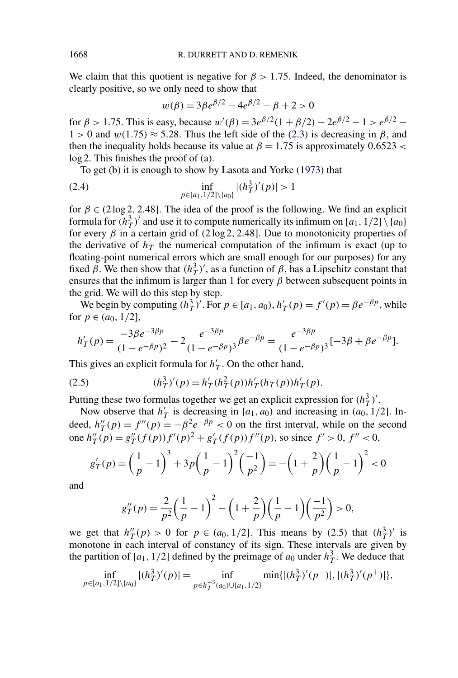We claim that this quotient is negative for  $\beta > 1.75$ . Indeed, the denominator is clearly positive, so we only need to show that

$$
w(\beta) = 3\beta e^{\beta/2} - 4e^{\beta/2} - \beta + 2 > 0
$$

for  $\beta > 1.75$ . This is easy, because  $w'(\beta) = 3e^{\beta/2}(1 + \beta/2) - 2e^{\beta/2} - 1 > e^{\beta/2} - 1$  $1 > 0$  and  $w(1.75) \approx 5.28$ . Thus the left side of the [\(2.3\)](#page-11-0) is decreasing in  $\beta$ , and then the inequality holds because its value at  $\beta = 1.75$  is approximately 0.6523 < log 2. This finishes the proof of (a).

To get (b) it is enough to show by Lasota and Yorke [\(1973\)](#page-29-0) that

(2.4) 
$$
\inf_{p \in [a_1, 1/2] \setminus \{a_0\}} |(h_T^3)'(p)| > 1
$$

for  $\beta \in (2 \log 2, 2.48]$ . The idea of the proof is the following. We find an explicit formula for  $(h_T^3)'$  and use it to compute numerically its infimum on  $[a_1, 1/2] \setminus \{a_0\}$ for every  $\beta$  in a certain grid of  $(2 \log 2, 2.48]$ . Due to monotonicity properties of the derivative of  $h<sub>T</sub>$  the numerical computation of the infimum is exact (up to floating-point numerical errors which are small enough for our purposes) for any fixed  $\beta$ . We then show that  $(h<sub>T</sub><sup>3</sup>)'$ , as a function of  $\beta$ , has a Lipschitz constant that ensures that the infimum is larger than 1 for every  $\beta$  between subsequent points in the grid. We will do this step by step.

We begin by computing  $(h_T^3)'$ . For  $p \in [a_1, a_0)$ ,  $h'_T(p) = f'(p) = \beta e^{-\beta p}$ , while for  $p \in (a_0, 1/2]$ ,

$$
h'_T(p) = \frac{-3\beta e^{-3\beta p}}{(1 - e^{-\beta p})^2} - 2\frac{e^{-3\beta p}}{(1 - e^{-\beta p})^3} \beta e^{-\beta p} = \frac{e^{-3\beta p}}{(1 - e^{-\beta p})^3} [-3\beta + \beta e^{-\beta p}].
$$

This gives an explicit formula for  $h'_T$ . On the other hand,

(2.5) 
$$
(h_T^3)'(p) = h'_T(h_T^2(p))h'_T(h_T(p))h'_T(p).
$$

Putting these two formulas together we get an explicit expression for  $(h_T^3)'$ .

Now observe that  $h'_T$  is decreasing in [ $a_1$ ,  $a_0$ ) and increasing in ( $a_0$ , 1/2]. Indeed,  $h''_T(p) = f''(p) = -\beta^2 e^{-\beta p} < 0$  on the first interval, while on the second one  $h''_T(p) = g''_T(f(p))f'(p)^2 + g'_T(f(p))f''(p)$ , so since  $f' > 0$ ,  $f'' < 0$ ,

$$
g'_{T}(p) = \left(\frac{1}{p} - 1\right)^3 + 3p\left(\frac{1}{p} - 1\right)^2 \left(\frac{-1}{p^2}\right) = -\left(1 + \frac{2}{p}\right)\left(\frac{1}{p} - 1\right)^2 < 0
$$

and

$$
g''_T(p) = \frac{2}{p^2} \left(\frac{1}{p} - 1\right)^2 - \left(1 + \frac{2}{p}\right) \left(\frac{1}{p} - 1\right) \left(\frac{-1}{p^2}\right) > 0,
$$

we get that  $h''_T(p) > 0$  for  $p \in (a_0, 1/2]$ . This means by (2.5) that  $(h^3_T)'$  is monotone in each interval of constancy of its sign. These intervals are given by the partition of  $[a_1, 1/2]$  defined by the preimage of  $a_0$  under  $h_T^3$ . We deduce that

$$
\inf_{p \in [a_1, 1/2] \setminus \{a_0\}} |(h_T^3)'(p)| = \inf_{p \in h_T^{-3}(a_0) \cup \{a_1, 1/2\}} \min\{|(h_T^3)'(p^-)|, |(h_T^3)'(p^+)|\},\
$$

<span id="page-12-0"></span>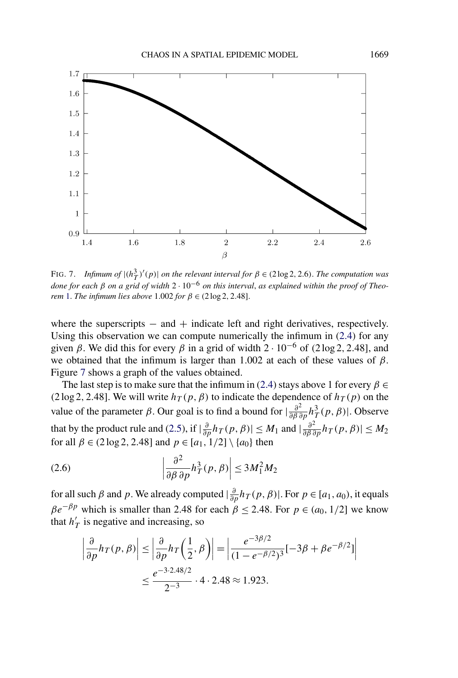<span id="page-13-0"></span>

FIG. 7. *Infimum of*  $|(h_T^3)'(p)|$  *on the relevant interval for*  $\beta \in (2 \log 2, 2.6)$ *. The computation was done for each β on a grid of width* 2 · 10−<sup>6</sup> *on this interval*, *as explained within the proof of Theorem* [1.](#page-4-0) *The infimum lies above* 1.002 *for*  $\beta \in (2 \log 2, 2.48]$ .

where the superscripts  $-$  and  $+$  indicate left and right derivatives, respectively. Using this observation we can compute numerically the infimum in [\(2.4\)](#page-12-0) for any given  $\beta$ . We did this for every  $\beta$  in a grid of width  $2 \cdot 10^{-6}$  of  $(2 \log 2, 2.48)$ , and we obtained that the infimum is larger than 1.002 at each of these values of  $\beta$ . Figure 7 shows a graph of the values obtained.

The last step is to make sure that the infimum in [\(2.4\)](#page-12-0) stays above 1 for every  $\beta \in$  $(2 \log 2, 2.48]$ . We will write  $h_T(p, \beta)$  to indicate the dependence of  $h_T(p)$  on the value of the parameter *β*. Our goal is to find a bound for  $|\frac{\partial^2}{\partial \beta \partial p} h_T^3(p, \beta)|$ . Observe that by the product rule and [\(2.5\)](#page-12-0), if  $|\frac{\partial}{\partial p} h_T(p, \beta)| \leq M_1$  and  $|\frac{\partial^2}{\partial \beta \partial p} h_T(p, \beta)| \leq M_2$ for all  $\beta \in (2 \log 2, 2.48]$  and  $p \in [a_1, 1/2] \setminus \{a_0\}$  then

(2.6) 
$$
\left|\frac{\partial^2}{\partial \beta \partial p} h_T^3(p,\beta)\right| \le 3M_1^2 M_2
$$

for all such  $\beta$  and  $p$ . We already computed  $|\frac{\partial}{\partial p} h_T(p, \beta)|$ . For  $p \in [a_1, a_0)$ , it equals  $\beta e^{-\beta p}$  which is smaller than 2.48 for each  $\beta \leq 2.48$ . For  $p \in (a_0, 1/2]$  we know that  $h'_T$  is negative and increasing, so

$$
\left|\frac{\partial}{\partial p}h_T(p,\beta)\right| \le \left|\frac{\partial}{\partial p}h_T\left(\frac{1}{2},\beta\right)\right| = \left|\frac{e^{-3\beta/2}}{(1 - e^{-\beta/2})^3}[-3\beta + \beta e^{-\beta/2}]\right|
$$

$$
\le \frac{e^{-3\cdot 2.48/2}}{2^{-3}} \cdot 4 \cdot 2.48 \approx 1.923.
$$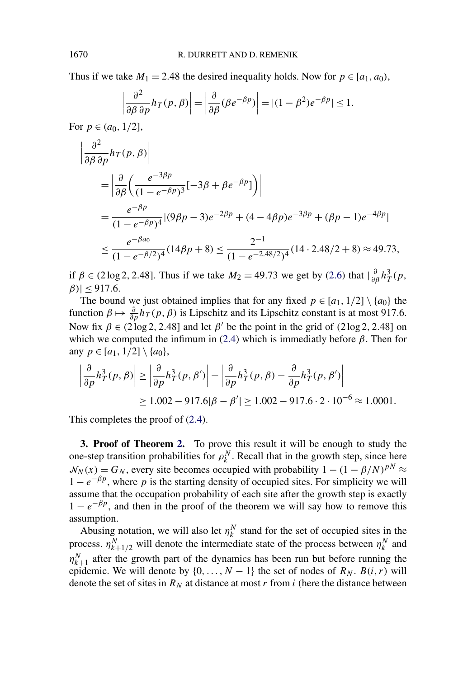<span id="page-14-0"></span>Thus if we take  $M_1 = 2.48$  the desired inequality holds. Now for  $p \in [a_1, a_0)$ ,

$$
\left|\frac{\partial^2}{\partial \beta \partial p} h_T(p,\beta)\right| = \left|\frac{\partial}{\partial \beta} (\beta e^{-\beta p})\right| = |(1-\beta^2)e^{-\beta p}| \le 1.
$$

For  $p \in (a_0, 1/2]$ ,

$$
\begin{aligned}\n&\left|\frac{\partial^2}{\partial \beta \partial p} h_T(p,\beta)\right| \\
&= \left|\frac{\partial}{\partial \beta} \left(\frac{e^{-3\beta p}}{(1 - e^{-\beta p})^3} [-3\beta + \beta e^{-\beta p}] \right)\right| \\
&= \frac{e^{-\beta p}}{(1 - e^{-\beta p})^4} |(9\beta p - 3)e^{-2\beta p} + (4 - 4\beta p)e^{-3\beta p} + (\beta p - 1)e^{-4\beta p}| \\
&\leq \frac{e^{-\beta a_0}}{(1 - e^{-\beta/2})^4} (14\beta p + 8) \leq \frac{2^{-1}}{(1 - e^{-2.48/2})^4} (14 \cdot 2.48/2 + 8) \approx 49.73,\n\end{aligned}
$$

if  $\beta \in (2\log 2, 2.48]$ . Thus if we take  $M_2 = 49.73$  we get by [\(2.6\)](#page-13-0) that  $\left|\frac{\partial}{\partial \beta} h_T^3(p, \right)$  $|\beta|$  < 917.6.

The bound we just obtained implies that for any fixed  $p \in [a_1, 1/2] \setminus \{a_0\}$  the function  $\beta \mapsto \frac{\partial}{\partial p} h_T(p, \beta)$  is Lipschitz and its Lipschitz constant is at most 917.6. Now fix  $\beta \in (2 \log 2, 2.48]$  and let  $\beta'$  be the point in the grid of  $(2 \log 2, 2.48]$  on which we computed the infimum in  $(2.4)$  which is immediatly before  $\beta$ . Then for any  $p \in [a_1, 1/2] \setminus \{a_0\}$ ,

$$
\left| \frac{\partial}{\partial p} h_T^3(p, \beta) \right| \ge \left| \frac{\partial}{\partial p} h_T^3(p, \beta') \right| - \left| \frac{\partial}{\partial p} h_T^3(p, \beta) - \frac{\partial}{\partial p} h_T^3(p, \beta') \right|
$$
  
\n
$$
\ge 1.002 - 917.6|\beta - \beta'| \ge 1.002 - 917.6 \cdot 2 \cdot 10^{-6} \approx 1.0001.
$$

This completes the proof of [\(2.4\)](#page-12-0).

**3. Proof of Theorem [2.](#page-5-0)** To prove this result it will be enough to study the one-step transition probabilities for  $\rho_k^N$ . Recall that in the growth step, since here  $N_N(x) = G_N$ , every site becomes occupied with probability  $1 - (1 - \beta/N)^{pN} \approx$  $1 - e^{-\beta p}$ , where *p* is the starting density of occupied sites. For simplicity we will assume that the occupation probability of each site after the growth step is exactly  $1 - e^{-\beta p}$ , and then in the proof of the theorem we will say how to remove this assumption.

Abusing notation, we will also let  $\eta_k^N$  stand for the set of occupied sites in the process.  $\eta_{k+1/2}^N$  will denote the intermediate state of the process between  $\eta_k^N$  and  $\eta_{k+1}^N$  after the growth part of the dynamics has been run but before running the epidemic. We will denote by  $\{0, \ldots, N-1\}$  the set of nodes of  $R_N$ .  $B(i, r)$  will denote the set of sites in  $R_N$  at distance at most *r* from *i* (here the distance between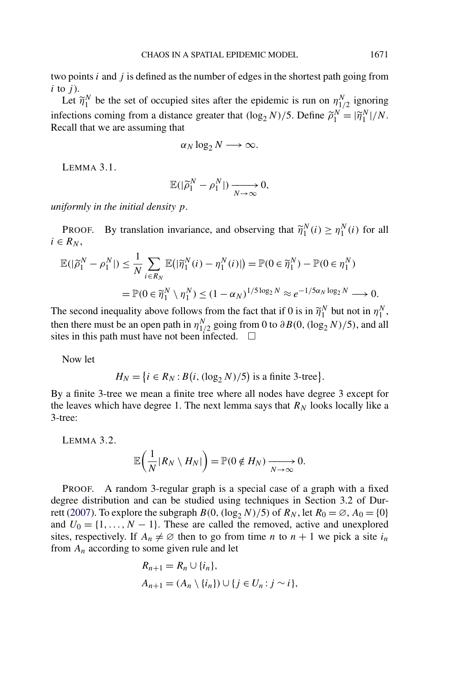<span id="page-15-0"></span>two points *i* and *j* is defined as the number of edges in the shortest path going from  $i$  to  $j$ ).

Let  $\widetilde{\eta}_1^N$  be the set of occupied sites after the epidemic is run on  $\eta_{1/2}^N$  ignoring infections coming from a distance greater that  $(\log_2 N)/5$ . Define  $\tilde{\rho}_1^N = |\tilde{\eta}_1^N|/N$ . Recall that we are assuming that

$$
\alpha_N \log_2 N \longrightarrow \infty.
$$

LEMMA 3.1.

$$
\mathbb{E}(|\widetilde{\rho}_1^N-\rho_1^N|)\xrightarrow[N\to\infty]{}0,
$$

*uniformly in the initial density p*.

PROOF. By translation invariance, and observing that  $\widetilde{\eta}_1^N(i) \ge \eta_1^N(i)$  for all  $i \in R_N$ ,

$$
\mathbb{E}(|\widetilde{\rho}_1^N - \rho_1^N|) \le \frac{1}{N} \sum_{i \in R_N} \mathbb{E}(|\widetilde{\eta}_1^N(i) - \eta_1^N(i)|) = \mathbb{P}(0 \in \widetilde{\eta}_1^N) - \mathbb{P}(0 \in \eta_1^N)
$$
  
= 
$$
\mathbb{P}(0 \in \widetilde{\eta}_1^N \setminus \eta_1^N) \le (1 - \alpha_N)^{1/5 \log_2 N} \approx e^{-1/5\alpha_N \log_2 N} \longrightarrow 0.
$$

The second inequality above follows from the fact that if 0 is in  $\tilde{\eta}_1^N$  but not in  $\eta_1^N$ , then there must be an open path in  $\eta_{1/2}^N$  going from 0 to  $\partial B(0, (\log_2 N)/5)$ , and all sites in this path must have not been infected.  $\Box$ 

Now let

$$
H_N = \{i \in R_N : B(i, (\log_2 N)/5) \text{ is a finite 3-tree}\}.
$$

By a finite 3-tree we mean a finite tree where all nodes have degree 3 except for the leaves which have degree 1. The next lemma says that  $R_N$  looks locally like a 3-tree:

LEMMA 3.2.

$$
\mathbb{E}\bigg(\frac{1}{N}|R_N\setminus H_N|\bigg)=\mathbb{P}(0\notin H_N)\xrightarrow[N\to\infty]{}0.
$$

PROOF. A random 3-regular graph is a special case of a graph with a fixed degree distribution and can be studied using techniques in Section 3.2 of Dur-rett [\(2007\)](#page-28-0). To explore the subgraph  $B(0, (\log_2 N)/5)$  of  $R_N$ , let  $R_0 = \emptyset$ ,  $A_0 = \{0\}$ and  $U_0 = \{1, ..., N - 1\}$ . These are called the removed, active and unexplored sites, respectively. If  $A_n \neq \emptyset$  then to go from time *n* to  $n + 1$  we pick a site  $i_n$ from  $A_n$  according to some given rule and let

$$
R_{n+1} = R_n \cup \{i_n\},
$$
  
\n
$$
A_{n+1} = (A_n \setminus \{i_n\}) \cup \{j \in U_n : j \sim i\},
$$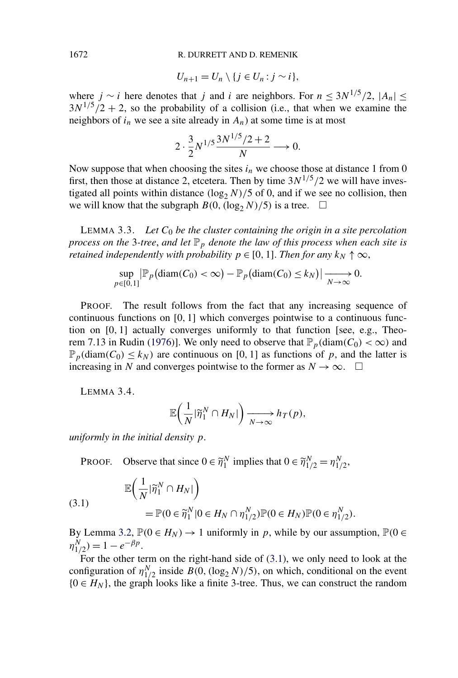#### 1672 R. DURRETT AND D. REMENIK

$$
U_{n+1}=U_n\setminus\{j\in U_n:j\sim i\},\
$$

where *j* ∼ *i* here denotes that *j* and *i* are neighbors. For  $n \leq 3N^{1/5}/2$ ,  $|A_n|$  ≤  $3N^{1/5}/2 + 2$ , so the probability of a collision (i.e., that when we examine the neighbors of  $i_n$  we see a site already in  $A_n$ ) at some time is at most

$$
2 \cdot \frac{3}{2} N^{1/5} \frac{3N^{1/5}/2 + 2}{N} \longrightarrow 0.
$$

Now suppose that when choosing the sites  $i_n$  we choose those at distance 1 from 0 first, then those at distance 2, etcetera. Then by time  $3N^{1/5}/2$  we will have investigated all points within distance  $(\log_2 N)/5$  of 0, and if we see no collision, then we will know that the subgraph  $B(0, (\log_2 N)/5)$  is a tree.  $\Box$ 

LEMMA 3.3. Let  $C_0$  be the cluster containing the origin in a site percolation *process on the* 3-tree, and let  $\mathbb{P}_p$  denote the law of this process when each site is *retained independently with probability*  $p \in [0, 1]$ *. Then for any*  $k_N \uparrow \infty$ ,

$$
\sup_{p\in[0,1]} |\mathbb{P}_p(\text{diam}(C_0)<\infty)-\mathbb{P}_p(\text{diam}(C_0)
$$

PROOF. The result follows from the fact that any increasing sequence of continuous functions on [0*,* 1] which converges pointwise to a continuous function on [0*,* 1] actually converges uniformly to that function [see, e.g., Theo-rem 7.13 in Rudin [\(1976\)](#page-29-0)]. We only need to observe that  $\mathbb{P}_p(\text{diam}(C_0) < \infty)$  and  $\mathbb{P}_p(\text{diam}(C_0) \leq k_N)$  are continuous on [0, 1] as functions of p, and the latter is increasing in *N* and converges pointwise to the former as  $N \to \infty$ .  $\Box$ 

LEMMA 3.4.

$$
\mathbb{E}\bigg(\frac{1}{N}|\widetilde{\eta}_1^N\cap H_N|\bigg)\xrightarrow[N\to\infty}h_T(p),
$$

*uniformly in the initial density p*.

PROOF. Observe that since  $0 \in \widetilde{\eta}_1^N$  implies that  $0 \in \widetilde{\eta}_{1/2}^N = \eta_{1/2}^N$ ,

(3.1) 
$$
\mathbb{E}\left(\frac{1}{N}|\widetilde{\eta}_1^N \cap H_N|\right) = \mathbb{P}(0 \in \widetilde{\eta}_1^N | 0 \in H_N \cap \eta_{1/2}^N) \mathbb{P}(0 \in H_N) \mathbb{P}(0 \in \eta_{1/2}^N).
$$

By Lemma [3.2,](#page-15-0)  $\mathbb{P}(0 \in H_N) \to 1$  uniformly in *p*, while by our assumption,  $\mathbb{P}(0 \in$  $\eta_{1/2}^N$ ) = 1 –  $e^{-\beta p}$ .

For the other term on the right-hand side of (3.1), we only need to look at the configuration of  $\eta_{1/2}^N$  inside  $B(0, (\log_2 N)/5)$ , on which, conditional on the event  ${0 \in H_N}$ , the graph looks like a finite 3-tree. Thus, we can construct the random

<span id="page-16-0"></span>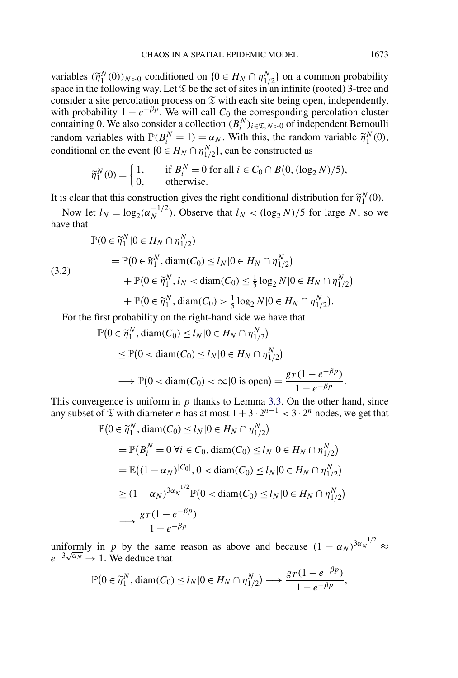<span id="page-17-0"></span>variables  $(\tilde{\eta}_1^N(0))_{N>0}$  conditioned on  $\{0 \in H_N \cap \eta_{1/2}^N\}$  on a common probability space in the following way. Let  $\mathfrak T$  be the set of sites in an infinite (rooted) 3-tree and consider a site percolation process on  $\mathfrak T$  with each site being open, independently, with probability  $1 - e^{-\beta p}$ . We will call  $C_0$  the corresponding percolation cluster containing 0. We also consider a collection  $(B_i^N)_{i \in \mathfrak{T}, N > 0}$  of independent Bernoulli random variables with  $\mathbb{P}(B_i^N = 1) = \alpha_N$ . With this, the random variable  $\widetilde{\eta}_1^N(0)$ , conditional on the event  $\{0 \in H_N \cap \eta_{1/2}^N\}$ , can be constructed as

$$
\widetilde{\eta}_1^N(0) = \begin{cases} 1, & \text{if } B_i^N = 0 \text{ for all } i \in C_0 \cap B(0, (\log_2 N)/5), \\ 0, & \text{otherwise.} \end{cases}
$$

It is clear that this construction gives the right conditional distribution for  $\tilde{\eta}_1^N(0)$ .

Now let  $l_N = \log_2(\alpha_N^{-1/2})$ . Observe that  $l_N < (\log_2 N)/5$  for large *N*, so we have that

$$
\mathbb{P}(0 \in \widetilde{\eta}_1^N | 0 \in H_N \cap \eta_{1/2}^N) \n= \mathbb{P}(0 \in \widetilde{\eta}_1^N, \text{diam}(C_0) \le l_N | 0 \in H_N \cap \eta_{1/2}^N) \n+ \mathbb{P}(0 \in \widetilde{\eta}_1^N, l_N < \text{diam}(C_0) \le \frac{1}{5} \log_2 N | 0 \in H_N \cap \eta_{1/2}^N) \n+ \mathbb{P}(0 \in \widetilde{\eta}_1^N, \text{diam}(C_0) > \frac{1}{5} \log_2 N | 0 \in H_N \cap \eta_{1/2}^N).
$$

For the first probability on the right-hand side we have that

$$
\mathbb{P}\left(0 \in \widetilde{\eta}_1^N, \operatorname{diam}(C_0) \le l_N | 0 \in H_N \cap \eta_{1/2}^N\right)
$$
  
\n
$$
\le \mathbb{P}\left(0 < \operatorname{diam}(C_0) \le l_N | 0 \in H_N \cap \eta_{1/2}^N\right)
$$
  
\n
$$
\longrightarrow \mathbb{P}\left(0 < \operatorname{diam}(C_0) < \infty | 0 \text{ is open}\right) = \frac{gr(1 - e^{-\beta p})}{1 - e^{-\beta p}}.
$$

This convergence is uniform in  $p$  thanks to Lemma [3.3.](#page-16-0) On the other hand, since any subset of  $\Im$  with diameter *n* has at most  $1+3 \cdot 2^{n-1} < 3 \cdot 2^n$  nodes, we get that

$$
\mathbb{P}(0 \in \widetilde{\eta}_1^N, \text{diam}(C_0) \le l_N | 0 \in H_N \cap \eta_{1/2}^N)
$$
  
=  $\mathbb{P}(B_i^N = 0 \ \forall i \in C_0, \text{diam}(C_0) \le l_N | 0 \in H_N \cap \eta_{1/2}^N)$   
=  $\mathbb{E}((1 - \alpha_N)^{|C_0|}, 0 < \text{diam}(C_0) \le l_N | 0 \in H_N \cap \eta_{1/2}^N)$   
 $\ge (1 - \alpha_N)^{3\alpha_N^{-1/2}} \mathbb{P}(0 < \text{diam}(C_0) \le l_N | 0 \in H_N \cap \eta_{1/2}^N)$   
 $\longrightarrow \frac{gr(1 - e^{-\beta p})}{1 - e^{-\beta p}}$ 

uniformly in *p* by the same reason as above and because  $(1 - \alpha_N)^{3\alpha_N^{-1/2}} \approx$  $e^{-3\sqrt{\alpha_N}} \to 1$ . We deduce that

$$
\mathbb{P}\big(0 \in \widetilde{\eta}_1^N, \text{diam}(C_0) \le l_N | 0 \in H_N \cap \eta_{1/2}^N \big) \longrightarrow \frac{gr(1 - e^{-\beta p})}{1 - e^{-\beta p}},
$$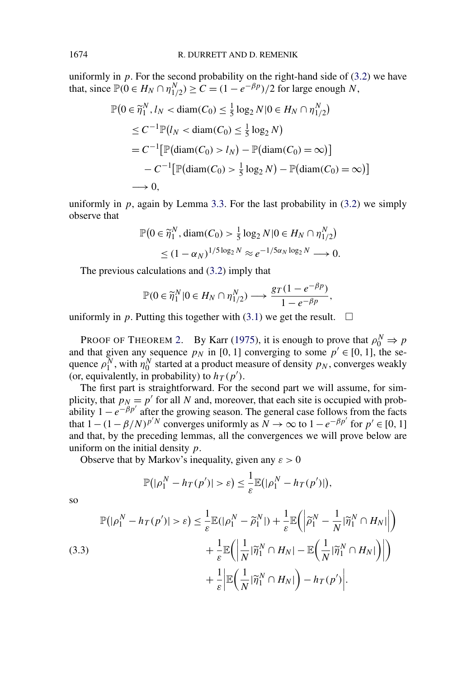uniformly in  $p$ . For the second probability on the right-hand side of  $(3.2)$  we have that, since  $\mathbb{P}(0 \in H_N \cap \eta_{1/2}^N) \ge C = (1 - e^{-\beta p})/2$  for large enough *N*,

$$
\mathbb{P}\left(0 \in \widetilde{\eta}_1^N, l_N < \text{diam}(C_0) \le \frac{1}{5} \log_2 N | 0 \in H_N \cap \eta_{1/2}^N\right) \\
\le C^{-1} \mathbb{P}\left(l_N < \text{diam}(C_0) \le \frac{1}{5} \log_2 N\right) \\
= C^{-1} \big[\mathbb{P}(\text{diam}(C_0) > l_N) - \mathbb{P}(\text{diam}(C_0) = \infty)\big] \\
-C^{-1} \big[\mathbb{P}(\text{diam}(C_0) > \frac{1}{5} \log_2 N) - \mathbb{P}(\text{diam}(C_0) = \infty)\big] \\
\longrightarrow 0,
$$

uniformly in  $p$ , again by Lemma [3.3.](#page-16-0) For the last probability in  $(3.2)$  we simply observe that

$$
\mathbb{P}\left(0 \in \widetilde{\eta}_1^N, \text{diam}(C_0) > \frac{1}{5} \log_2 N | 0 \in H_N \cap \eta_{1/2}^N\right) \le (1 - \alpha_N)^{1/5 \log_2 N} \approx e^{-1/5\alpha_N \log_2 N} \longrightarrow 0.
$$

The previous calculations and [\(3.2\)](#page-17-0) imply that

$$
\mathbb{P}(0 \in \widetilde{\eta}_1^N | 0 \in H_N \cap \eta_{1/2}^N) \longrightarrow \frac{g_T(1 - e^{-\beta p})}{1 - e^{-\beta p}},
$$

uniformly in p. Putting this together with  $(3.1)$  we get the result.  $\Box$ 

PROOF OF THEOREM [2.](#page-5-0) By Karr [\(1975\)](#page-29-0), it is enough to prove that  $\rho_0^N \Rightarrow p$ and that given any sequence  $p<sub>N</sub>$  in [0, 1] converging to some  $p' \in [0, 1]$ , the sequence  $\rho_1^N$ , with  $\eta_0^N$  started at a product measure of density  $p_N$ , converges weakly (or, equivalently, in probability) to  $h_T(p')$ .

The first part is straightforward. For the second part we will assume, for simplicity, that  $p_N = p'$  for all N and, moreover, that each site is occupied with probability  $1 - e^{-\beta p'}$  after the growing season. The general case follows from the facts that  $1-(1-\beta/N)^{p^tN}$  converges uniformly as  $N \to \infty$  to  $1-e^{-\beta p^t}$  for  $p' \in [0, 1]$ and that, by the preceding lemmas, all the convergences we will prove below are uniform on the initial density *p*.

Observe that by Markov's inequality, given any  $\varepsilon > 0$ 

$$
\mathbb{P}(|\rho_1^N - h_T(p')| > \varepsilon) \leq \frac{1}{\varepsilon} \mathbb{E}(|\rho_1^N - h_T(p')|),
$$

so

(3.3)  
\n
$$
\mathbb{P}(|\rho_1^N - h_T(p')| > \varepsilon) \leq \frac{1}{\varepsilon} \mathbb{E}(|\rho_1^N - \widetilde{\rho}_1^N|) + \frac{1}{\varepsilon} \mathbb{E}(|\widetilde{\rho}_1^N - \frac{1}{N}|\widetilde{\eta}_1^N \cap H_N|) + \frac{1}{\varepsilon} \mathbb{E}(|\frac{1}{N}|\widetilde{\eta}_1^N \cap H_N| - \mathbb{E}(|\frac{1}{N}|\widetilde{\eta}_1^N \cap H_N|) |) + \frac{1}{\varepsilon} \mathbb{E(|\frac{1}{N}|\widetilde{\eta}_1^N \cap H_N|) - h_T(p')|.
$$

<span id="page-18-0"></span>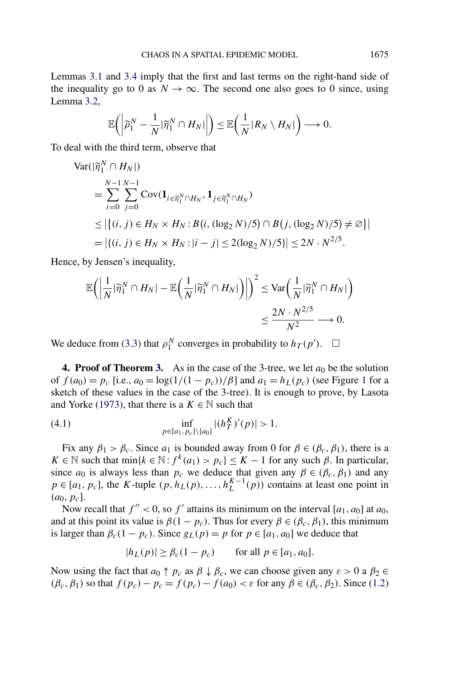<span id="page-19-0"></span>Lemmas [3.1](#page-15-0) and [3.4](#page-16-0) imply that the first and last terms on the right-hand side of the inequality go to 0 as  $N \to \infty$ . The second one also goes to 0 since, using Lemma [3.2,](#page-15-0)

$$
\mathbb{E}\bigg(\bigg|\widetilde{\rho}_1^N-\frac{1}{N}|\widetilde{\eta}_1^N\cap H_N|\bigg|\bigg)\leq \mathbb{E}\bigg(\frac{1}{N}|R_N\setminus H_N|\bigg)\longrightarrow 0.
$$

To deal with the third term, observe that

$$
\begin{aligned} \text{Var}(|\widetilde{\eta}_1^N \cap H_N|) \\ &= \sum_{i=0}^{N-1} \sum_{j=0}^{N-1} \text{Cov}(\mathbf{1}_{i \in \widetilde{\eta}_1^N \cap H_N}, \mathbf{1}_{j \in \widetilde{\eta}_1^N \cap H_N}) \\ &\leq |\{(i, j) \in H_N \times H_N : B(i, (\log_2 N)/5) \cap B(j, (\log_2 N)/5) \neq \varnothing\}| \\ &= |\{(i, j) \in H_N \times H_N : |i - j| \leq 2(\log_2 N)/5\}| \leq 2N \cdot N^{2/5}. \end{aligned}
$$

Hence, by Jensen's inequality,

$$
\mathbb{E}\bigg(\bigg|\frac{1}{N}|\widetilde{\eta}_1^N \cap H_N| - \mathbb{E}\bigg(\frac{1}{N}|\widetilde{\eta}_1^N \cap H_N|\bigg)\bigg|\bigg)^2 \leq \text{Var}\bigg(\frac{1}{N}|\widetilde{\eta}_1^N \cap H_N|\bigg) \leq \frac{2N \cdot N^{2/5}}{N^2} \longrightarrow 0.
$$

We deduce from [\(3.3\)](#page-18-0) that  $\rho_1^N$  converges in probability to  $h_T(p')$ .  $\Box$ 

**4. Proof of Theorem [3.](#page-6-0)** As in the case of the 3-tree, we let  $a_0$  be the solution of  $f(a_0) = p_c$  [i.e.,  $a_0 = \log(1/(1 - p_c))/\beta$  $a_0 = \log(1/(1 - p_c))/\beta$  $a_0 = \log(1/(1 - p_c))/\beta$ ] and  $a_1 = h_L(p_c)$  (see Figure 1 for a sketch of these values in the case of the 3-tree). It is enough to prove, by Lasota and Yorke [\(1973\)](#page-29-0), that there is a  $K \in \mathbb{N}$  such that

(4.1) 
$$
\inf_{p \in [a_1, p_c] \setminus \{a_0\}} |(h_T^K)'(p)| > 1.
$$

Fix any  $\beta_1 > \beta_c$ . Since  $a_1$  is bounded away from 0 for  $\beta \in (\beta_c, \beta_1)$ , there is a *K* ∈ N such that min{*k* ∈ N: *f*<sup>*k*</sup>(*a*<sub>1</sub>) > *p<sub>c</sub>*} ≤ *K* − 1 for any such *β*. In particular, since  $a_0$  is always less than  $p_c$  we deduce that given any  $\beta \in (\beta_c, \beta_1)$  and any  $p \in [a_1, p_c]$ , the *K*-tuple  $(p, h_L(p), \ldots, h_L^{K-1}(p))$  contains at least one point in  $(a_0, p_c)$ .

Now recall that  $f'' < 0$ , so  $f'$  attains its minimum on the interval [ $a_1$ ,  $a_0$ ] at  $a_0$ , and at this point its value is  $\beta(1 - p_c)$ . Thus for every  $\beta \in (\beta_c, \beta_1)$ , this minimum is larger than  $\beta_c(1 - p_c)$ . Since  $g_L(p) = p$  for  $p \in [a_1, a_0]$  we deduce that

$$
|h_L(p)| \ge \beta_c(1 - p_c) \qquad \text{for all } p \in [a_1, a_0].
$$

Now using the fact that  $a_0 \uparrow p_c$  as  $\beta \downarrow \beta_c$ , we can choose given any  $\varepsilon > 0$  a  $\beta_2 \in$ *(β<sub>c</sub>*, *β*<sub>1</sub>) so that  $f(p_c) - p_c = f(p_c) - f(a_0) < ε$  for any  $β ∈ (β_c, β_2)$ . Since [\(1.2\)](#page-6-0)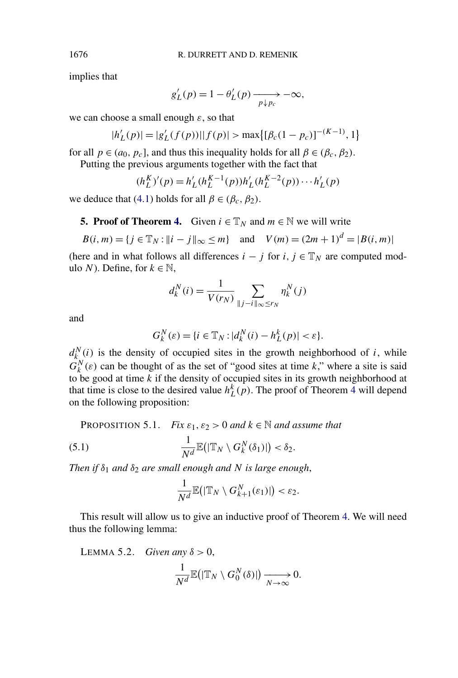implies that

$$
g_L'(p) = 1 - \theta_L'(p) \xrightarrow[p \downarrow p_c]{} -\infty,
$$

we can choose a small enough *ε*, so that

$$
|h'_{L}(p)| = |g'_{L}(f(p))||f(p)| > \max\{[\beta_c(1-p_c)]^{-(K-1)}, 1\}
$$

for all  $p \in (a_0, p_c]$ , and thus this inequality holds for all  $\beta \in (\beta_c, \beta_2)$ .

Putting the previous arguments together with the fact that

$$
(h_L^K)'(p) = h'_L(h_L^{K-1}(p))h'_L(h_L^{K-2}(p))\cdots h'_L(p)
$$

we deduce that [\(4.1\)](#page-19-0) holds for all  $\beta \in (\beta_c, \beta_2)$ .

### **5. Proof of Theorem [4.](#page-7-0)** Given  $i \in \mathbb{T}_N$  and  $m \in \mathbb{N}$  we will write

$$
B(i, m) = \{ j \in \mathbb{T}_N : ||i - j||_{\infty} \le m \} \text{ and } V(m) = (2m + 1)^d = |B(i, m)|
$$

(here and in what follows all differences  $i - j$  for  $i, j \in \mathbb{T}_N$  are computed modulo *N*). Define, for  $k \in \mathbb{N}$ ,

$$
d_k^N(i) = \frac{1}{V(r_N)} \sum_{\parallel j-i \parallel_{\infty} \le r_N} \eta_k^N(j)
$$

and

$$
G_k^N(\varepsilon) = \{ i \in \mathbb{T}_N : |d_k^N(i) - h_L^k(p)| < \varepsilon \}.
$$

 $d_{k}^{N}(i)$  is the density of occupied sites in the growth neighborhood of *i*, while  $G_k^N(\varepsilon)$  can be thought of as the set of "good sites at time *k*," where a site is said to be good at time *k* if the density of occupied sites in its growth neighborhood at that time is close to the desired value  $h_L^k(p)$ . The proof of Theorem [4](#page-7-0) will depend on the following proposition:

**PROPOSITION 5.1.** *Fix*  $\varepsilon_1$ ,  $\varepsilon_2 > 0$  *and*  $k \in \mathbb{N}$  *and assume that* 

(5.1) 
$$
\frac{1}{N^d}\mathbb{E}(|\mathbb{T}_N\setminus G_k^N(\delta_1)|)<\delta_2.
$$

*Then if*  $\delta_1$  *and*  $\delta_2$  *are small enough and N is large enough*,

$$
\frac{1}{N^d}\mathbb{E}\big(|\mathbb{T}_N\setminus G_{k+1}^N(\varepsilon_1)|\big)<\varepsilon_2.
$$

This result will allow us to give an inductive proof of Theorem [4.](#page-7-0) We will need thus the following lemma:

LEMMA 5.2. *Given any*  $\delta > 0$ ,

$$
\frac{1}{N^d}\mathbb{E}\big(|\mathbb{T}_N\setminus G_0^N(\delta)|\big)\xrightarrow[N\to\infty]{}0.
$$

<span id="page-20-0"></span>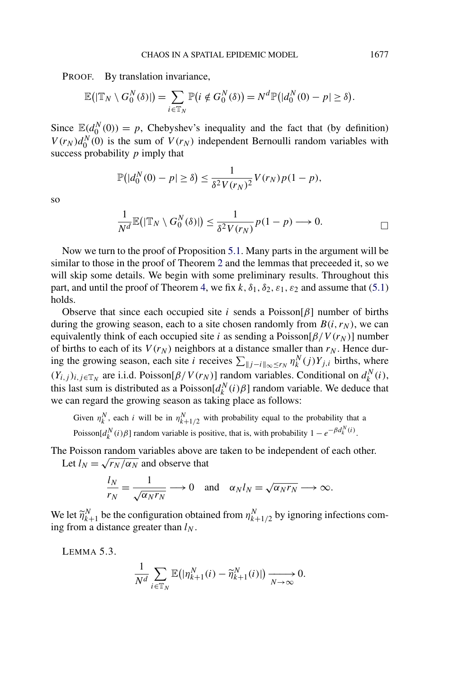<span id="page-21-0"></span>PROOF. By translation invariance,

$$
\mathbb{E}(|\mathbb{T}_N \setminus G_0^N(\delta)|) = \sum_{i \in \mathbb{T}_N} \mathbb{P}(i \notin G_0^N(\delta)) = N^d \mathbb{P}(|d_0^N(0) - p| \ge \delta).
$$

Since  $\mathbb{E}(d_0^N(0)) = p$ , Chebyshev's inequality and the fact that (by definition)  $V(r_N)d_0^N(0)$  is the sum of  $V(r_N)$  independent Bernoulli random variables with success probability *p* imply that

$$
\mathbb{P}\left(|d_0^N(0)-p|\geq \delta\right)\leq \frac{1}{\delta^2 V(r_N)^2}V(r_N)p(1-p),
$$

so

$$
\frac{1}{N^d}\mathbb{E}(|\mathbb{T}_N\setminus G_0^N(\delta)|)\leq \frac{1}{\delta^2 V(r_N)}p(1-p)\longrightarrow 0.
$$

Now we turn to the proof of Proposition [5.1.](#page-20-0) Many parts in the argument will be similar to those in the proof of Theorem [2](#page-5-0) and the lemmas that preceeded it, so we will skip some details. We begin with some preliminary results. Throughout this part, and until the proof of Theorem [4,](#page-7-0) we fix  $k$ ,  $\delta_1$ ,  $\delta_2$ ,  $\varepsilon_1$ ,  $\varepsilon_2$  and assume that [\(5.1\)](#page-20-0) holds.

Observe that since each occupied site *i* sends a Poisson[ $\beta$ ] number of births during the growing season, each to a site chosen randomly from  $B(i, r_N)$ , we can equivalently think of each occupied site *i* as sending a Poisson[ $\beta/V(r_N)$ ] number of births to each of its  $V(r_N)$  neighbors at a distance smaller than  $r_N$ . Hence during the growing season, each site *i* receives  $\sum_{\|j-i\|_{\infty} \le r_N} \eta_k^N(j) Y_{j,i}$  births, where  $(Y_{i,j})_{i,j\in\mathbb{T}_N}$  are i.i.d. Poisson $[\beta/V(r_N)]$  random variables. Conditional on  $d_k^N(i)$ , this last sum is distributed as a Poisson $[d_k^N(i)\beta]$  random variable. We deduce that we can regard the growing season as taking place as follows:

Given  $\eta_k^N$ , each *i* will be in  $\eta_{k+1/2}^N$  with probability equal to the probability that a Poisson $[d_k^N(i)\beta]$  random variable is positive, that is, with probability  $1 - e^{-\beta d_k^N(i)}$ .

The Poisson random variables above are taken to be independent of each other. Let  $l_N = \sqrt{r_N/\alpha_N}$  and observe that

$$
\frac{l_N}{r_N} = \frac{1}{\sqrt{\alpha_N r_N}} \longrightarrow 0 \quad \text{and} \quad \alpha_N l_N = \sqrt{\alpha_N r_N} \longrightarrow \infty.
$$

We let  $\widetilde{\eta}_{k+1}^N$  be the configuration obtained from  $\eta_{k+1/2}^N$  by ignoring infections coming from a distance greater than  $l_N$ .

LEMMA 5.3.

$$
\frac{1}{N^d} \sum_{i \in \mathbb{T}_N} \mathbb{E} \big( |\eta_{k+1}^N(i) - \widetilde{\eta}_{k+1}^N(i)| \big) \xrightarrow[N \to \infty]{} 0.
$$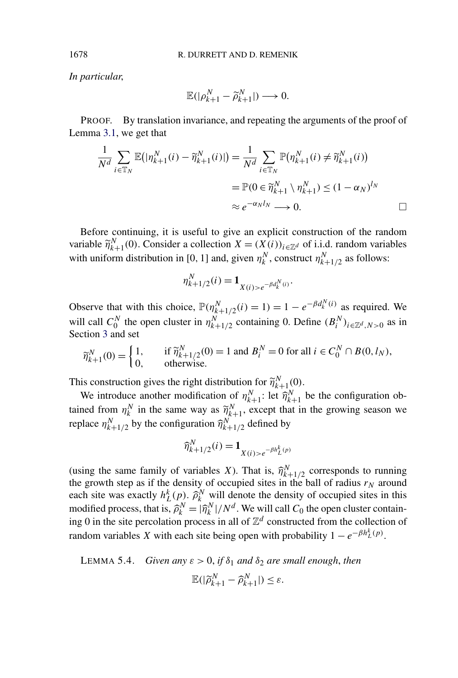*In particular*,

$$
\mathbb{E}(|\rho_{k+1}^N - \widetilde{\rho}_{k+1}^N|) \longrightarrow 0.
$$

PROOF. By translation invariance, and repeating the arguments of the proof of Lemma [3.1,](#page-15-0) we get that

$$
\frac{1}{N^d} \sum_{i \in \mathbb{T}_N} \mathbb{E}(|\eta_{k+1}^N(i) - \widetilde{\eta}_{k+1}^N(i)|) = \frac{1}{N^d} \sum_{i \in \mathbb{T}_N} \mathbb{P}(\eta_{k+1}^N(i) \neq \widetilde{\eta}_{k+1}^N(i))
$$
  
=  $\mathbb{P}(0 \in \widetilde{\eta}_{k+1}^N \setminus \eta_{k+1}^N) \le (1 - \alpha_N)^{l_N}$   
 $\approx e^{-\alpha_N l_N} \longrightarrow 0.$ 

Before continuing, it is useful to give an explicit construction of the random variable  $\widetilde{\eta}_{k+1}^N(0)$ . Consider a collection  $X = (X(i))_{i \in \mathbb{Z}^d}$  of i.i.d. random variables with uniform distribution in [0, 1] and, given  $\eta_k^N$ , construct  $\eta_{k+1/2}^N$  as follows:

$$
\eta_{k+1/2}^N(i) = \mathbf{1}_{X(i) > e^{-\beta d_k^N(i)}}.
$$

Observe that with this choice,  $\mathbb{P}(\eta_{k+1/2}^N(i) = 1) = 1 - e^{-\beta d_k^N(i)}$  as required. We will call  $C_0^N$  the open cluster in  $\eta_{k+1/2}^N$  containing 0. Define  $(B_i^N)_{i \in \mathbb{Z}^d, N>0}$  as in Section [3](#page-14-0) and set

$$
\widetilde{\eta}_{k+1}^N(0) = \begin{cases} 1, & \text{if } \widetilde{\eta}_{k+1/2}^N(0) = 1 \text{ and } B_i^N = 0 \text{ for all } i \in C_0^N \cap B(0, l_N), \\ 0, & \text{otherwise.} \end{cases}
$$

This construction gives the right distribution for  $\widetilde{\eta}_{k+1}^{N}(0)$ .

We introduce another modification of  $\eta_{k+1}^N$ : let  $\widehat{\eta}_{k+1}^N$  be the configuration obtained from  $\eta_k^N$  in the same way as  $\widetilde{\eta}_{k+1}^N$ , except that in the growing season we replace  $\eta_{k+1/2}^N$  by the configuration  $\widehat{\eta}_{k+1/2}^N$  defined by

$$
\widehat{\eta}_{k+1/2}^N(i) = \mathbf{1}_{X(i) > e^{-\beta h_L^k(p)}}
$$

(using the same family of variables *X*). That is,  $\hat{\eta}_{k+1/2}^N$  corresponds to running the growth step as if the density of occupied sites in the ball of radius  $r_N$  around each site was exactly  $h_L^k(p)$ .  $\hat{\rho}_k^N$  will denote the density of occupied sites in this modified process, that is,  $\hat{\rho}_k^N = |\hat{\eta}_k^N|/N^d$ . We will call  $C_0$  the open cluster containing 0 in the site percolation process in all of  $\mathbb{Z}^d$  constructed from the collection of random variables *X* with each site being open with probability  $1 - e^{-\beta h_L^k(p)}$ .

LEMMA 5.4. Given any 
$$
\varepsilon > 0
$$
, if  $\delta_1$  and  $\delta_2$  are small enough, then  

$$
\mathbb{E}(|\widetilde{\rho}_{k+1}^N - \widehat{\rho}_{k+1}^N|) \leq \varepsilon.
$$

<span id="page-22-0"></span>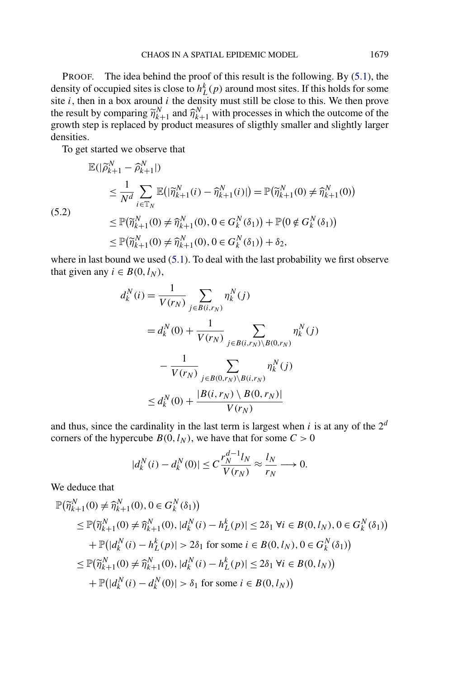<span id="page-23-0"></span>PROOF. The idea behind the proof of this result is the following. By [\(5.1\)](#page-20-0), the density of occupied sites is close to  $h_L^k(p)$  around most sites. If this holds for some site *i*, then in a box around *i* the density must still be close to this. We then prove the result by comparing  $\widetilde{\eta}_{k+1}^N$  and  $\widehat{\eta}_{k+1}^N$  with processes in which the outcome of the growth step is replaced by product measures of sligthly smaller and slightly larger densities.

To get started we observe that

$$
\mathbb{E}(|\widetilde{\rho}_{k+1}^{N} - \widehat{\rho}_{k+1}^{N}|)
$$
\n
$$
\leq \frac{1}{N^{d}} \sum_{i \in \mathbb{T}_{N}} \mathbb{E}(|\widetilde{\eta}_{k+1}^{N}(i) - \widehat{\eta}_{k+1}^{N}(i)|) = \mathbb{P}(\widetilde{\eta}_{k+1}^{N}(0) \neq \widehat{\eta}_{k+1}^{N}(0))
$$
\n(5.2)\n
$$
\leq \mathbb{P}(\widetilde{\eta}_{k+1}^{N}(0) \neq \widehat{\eta}_{k+1}^{N}(0), 0 \in G_{k}^{N}(\delta_{1})) + \mathbb{P}(0 \notin G_{k}^{N}(\delta_{1}))
$$
\n
$$
\leq \mathbb{P}(\widetilde{\eta}_{k+1}^{N}(0) \neq \widehat{\eta}_{k+1}^{N}(0), 0 \in G_{k}^{N}(\delta_{1})) + \delta_{2},
$$

where in last bound we used [\(5.1\)](#page-20-0). To deal with the last probability we first observe that given any  $i \in B(0, l_N)$ ,

$$
d_k^N(i) = \frac{1}{V(r_N)} \sum_{j \in B(i,r_N)} \eta_k^N(j)
$$
  
=  $d_k^N(0) + \frac{1}{V(r_N)} \sum_{j \in B(i,r_N) \setminus B(0,r_N)} \eta_k^N(j)$   
 $- \frac{1}{V(r_N)} \sum_{j \in B(0,r_N) \setminus B(i,r_N)} \eta_k^N(j)$   
 $\le d_k^N(0) + \frac{|B(i,r_N) \setminus B(0,r_N)|}{V(r_N)}$ 

and thus, since the cardinality in the last term is largest when  $i$  is at any of the  $2^d$ corners of the hypercube  $B(0, l_N)$ , we have that for some  $C > 0$ 

$$
|d_k^N(i) - d_k^N(0)| \le C \frac{r_N^{d-1} l_N}{V(r_N)} \approx \frac{l_N}{r_N} \longrightarrow 0.
$$

We deduce that

$$
\mathbb{P}(\widetilde{\eta}_{k+1}^{N}(0) \neq \widehat{\eta}_{k+1}^{N}(0), 0 \in G_{k}^{N}(\delta_{1}))
$$
\n
$$
\leq \mathbb{P}(\widetilde{\eta}_{k+1}^{N}(0) \neq \widehat{\eta}_{k+1}^{N}(0), |d_{k}^{N}(i) - h_{L}^{k}(p)| \leq 2\delta_{1} \forall i \in B(0, l_{N}), 0 \in G_{k}^{N}(\delta_{1}))
$$
\n
$$
+ \mathbb{P}(|d_{k}^{N}(i) - h_{L}^{k}(p)| > 2\delta_{1} \text{ for some } i \in B(0, l_{N}), 0 \in G_{k}^{N}(\delta_{1}))
$$
\n
$$
\leq \mathbb{P}(\widetilde{\eta}_{k+1}^{N}(0) \neq \widehat{\eta}_{k+1}^{N}(0), |d_{k}^{N}(i) - h_{L}^{k}(p)| \leq 2\delta_{1} \forall i \in B(0, l_{N}))
$$
\n
$$
+ \mathbb{P}(|d_{k}^{N}(i) - d_{k}^{N}(0)| > \delta_{1} \text{ for some } i \in B(0, l_{N}))
$$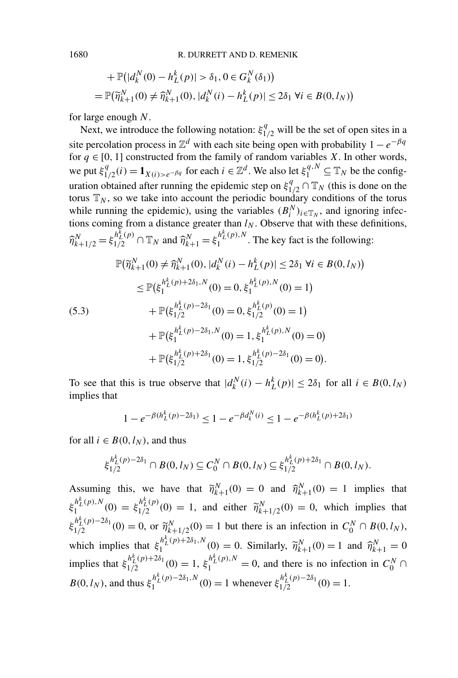+ 
$$
\mathbb{P}(|d_k^N(0) - h_L^k(p)| > \delta_1, 0 \in G_k^N(\delta_1))
$$
  
=  $\mathbb{P}(\widetilde{\eta}_{k+1}^N(0) \neq \widehat{\eta}_{k+1}^N(0), |d_k^N(i) - h_L^k(p)| \leq 2\delta_1 \ \forall i \in B(0, l_N))$ 

for large enough *N*.

Next, we introduce the following notation:  $\xi_{1/2}^q$  will be the set of open sites in a site percolation process in  $\mathbb{Z}^d$  with each site being open with probability  $1 - e^{-\beta q}$ for  $q \in [0, 1]$  constructed from the family of random variables *X*. In other words, we put  $\xi_{1/2}^q(i) = \mathbf{1}_{X(i) > e^{-\beta q}}$  for each  $i \in \mathbb{Z}^d$ . We also let  $\xi_1^{q,N} \subseteq \mathbb{T}_N$  be the configuration obtained after running the epidemic step on  $\xi_{1/2}^q \cap \mathbb{T}_N$  (this is done on the torus  $\mathbb{T}_N$ , so we take into account the periodic boundary conditions of the torus while running the epidemic), using the variables  $(B_i^N)_{i \in \mathbb{T}_N}$ , and ignoring infections coming from a distance greater than  $l_N$ . Observe that with these definitions,  $\hat{\eta}_{k+1/2}^N = \xi_{1/2}^{h_L^k(p)} \cap \mathbb{T}_N$  and  $\hat{\eta}_{k+1}^N = \xi_1^{h_L^k(p),N}$ . The key fact is the following:

$$
\mathbb{P}(\widetilde{\eta}_{k+1}^{N}(0) \neq \widehat{\eta}_{k+1}^{N}(0), |d_{k}^{N}(i) - h_{L}^{k}(p)| \leq 2\delta_{1} \ \forall i \in B(0, l_{N}))
$$
\n
$$
\leq \mathbb{P}(\xi_{1}^{h_{L}^{k}(p) + 2\delta_{1}, N}(0) = 0, \xi_{1}^{h_{L}^{k}(p), N}(0) = 1)
$$
\n
$$
+ \mathbb{P}(\xi_{1/2}^{h_{L}^{k}(p) - 2\delta_{1}}(0) = 0, \xi_{1/2}^{h_{L}^{k}(p)}(0) = 1)
$$
\n
$$
+ \mathbb{P}(\xi_{1}^{h_{L}^{k}(p) - 2\delta_{1}, N}(0) = 1, \xi_{1}^{h_{L}^{k}(p), N}(0) = 0)
$$
\n
$$
+ \mathbb{P}(\xi_{1/2}^{h_{L}^{k}(p) + 2\delta_{1}}(0) = 1, \xi_{1/2}^{h_{L}^{k}(p) - 2\delta_{1}}(0) = 0).
$$

To see that this is true observe that  $|d_k^N(i) - h_L^k(p)| \le 2\delta_1$  for all  $i \in B(0, l_N)$ implies that

$$
1 - e^{-\beta(h_L^k(p) - 2\delta_1)} \le 1 - e^{-\beta d_k^N(i)} \le 1 - e^{-\beta(h_L^k(p) + 2\delta_1)}
$$

for all  $i \in B(0, l_N)$ , and thus

$$
\xi_{1/2}^{h_L^k(p)-2\delta_1} \cap B(0,l_N) \subseteq C_0^N \cap B(0,l_N) \subseteq \xi_{1/2}^{h_L^k(p)+2\delta_1} \cap B(0,l_N).
$$

Assuming this, we have that  $\tilde{\eta}_{k+1}^N(0) = 0$  and  $\hat{\eta}_{k+1}^N(0) = 1$  implies that  $\xi_1^{h_L^k(p),N}(0) = \xi_{1/2}^{h_L^k(p)}(0) = 1$ , and either  $\widetilde{\eta}_{k+1/2}^N(0) = 0$ , which implies that  $\xi_{1/2}^{h_L^k(p)-2\delta_1}(0) = 0$ , or  $\widetilde{\eta}_{k+1/2}^N(0) = 1$  but there is an infection in  $C_0^N \cap B(0, l_N)$ , which implies that  $\xi_1^{h_L^k(p)+2\delta_1,N}(0) = 0$ . Similarly,  $\widetilde{\eta}_{k+1}^N(0) = 1$  and  $\widehat{\eta}_{k+1}^N = 0$ implies that  $\xi_{1/2}^{h_L^k(p)+2\delta_1}(0) = 1$ ,  $\xi_1^{h_L^k(p),N} = 0$ , and there is no infection in  $C_0^N \cap$  $B(0, l_N)$ , and thus  $\xi_1^{h_L^k(p)-2\delta_1, N}(0) = 1$  whenever  $\xi_{1/2}^{h_L^k(p)-2\delta_1}(0) = 1$ .

<span id="page-24-0"></span>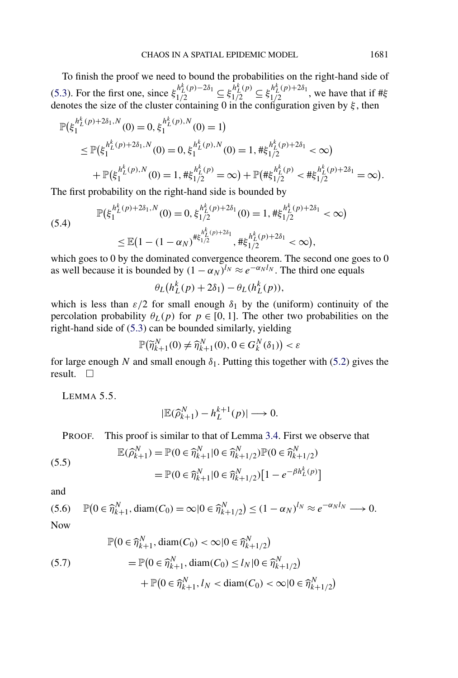<span id="page-25-0"></span>To finish the proof we need to bound the probabilities on the right-hand side of [\(5.3\)](#page-24-0). For the first one, since  $\xi_{1/2}^{h_L^k(p)-2\delta_1} \subseteq \xi_{1/2}^{\bar{h}_L^k(p)} \subseteq \xi_{1/2}^{h_L^k(p)+2\delta_1}$ , we have that if # $\xi$ denotes the size of the cluster containing 0 in the configuration given by *ξ* , then

$$
\mathbb{P}(\xi_1^{h_L^k(p)+2\delta_1,N}(0)=0,\xi_1^{h_L^k(p),N}(0)=1)
$$
\n
$$
\leq \mathbb{P}(\xi_1^{h_L^k(p)+2\delta_1,N}(0)=0,\xi_1^{h_L^k(p),N}(0)=1,\#\xi_{1/2}^{h_L^k(p)+2\delta_1}<\infty)
$$
\n
$$
+\mathbb{P}(\xi_1^{h_L^k(p),N}(0)=1,\#\xi_{1/2}^{h_L^k(p)}=\infty)+\mathbb{P}(\#\xi_{1/2}^{h_L^k(p)}<\#\xi_{1/2}^{h_L^k(p)+2\delta_1}=\infty).
$$

The first probability on the right-hand side is bounded by

$$
\mathbb{P}(\xi_1^{h_L^k(p)+2\delta_1,N}(0)=0,\xi_{1/2}^{h_L^k(p)+2\delta_1}(0)=1,\#\xi_{1/2}^{h_L^k(p)+2\delta_1}<\infty)
$$
  

$$
\leq \mathbb{E}(1-(1-\alpha_N)^{\#\xi_{1/2}^{h_L^k(p)+2\delta_1}},\#\xi_{1/2}^{h_L^k(p)+2\delta_1}<\infty),
$$

which goes to 0 by the dominated convergence theorem. The second one goes to 0 as well because it is bounded by  $(1 - \alpha_N)^{l_N} \approx e^{-\alpha_N l_N}$ . The third one equals

$$
\theta_L(h_L^k(p) + 2\delta_1) - \theta_L(h_L^k(p)),
$$

which is less than  $\epsilon/2$  for small enough  $\delta_1$  by the (uniform) continuity of the percolation probability  $\theta_L(p)$  for  $p \in [0, 1]$ . The other two probabilities on the right-hand side of [\(5.3\)](#page-24-0) can be bounded similarly, yielding

$$
\mathbb{P}(\widetilde{\eta}_{k+1}^N(0)\neq \widehat{\eta}_{k+1}^N(0), 0\in G_k^N(\delta_1))<\varepsilon
$$

for large enough *N* and small enough  $\delta_1$ . Putting this together with [\(5.2\)](#page-23-0) gives the result.  $\square$ 

LEMMA 5.5.

$$
|\mathbb{E}(\widehat{\rho}_{k+1}^N)-h_L^{k+1}(p)|\longrightarrow 0.
$$

PROOF. This proof is similar to that of Lemma [3.4.](#page-16-0) First we observe that

(5.5)  
\n
$$
\mathbb{E}(\widehat{\rho}_{k+1}^N) = \mathbb{P}(0 \in \widehat{\eta}_{k+1}^N | 0 \in \widehat{\eta}_{k+1/2}^N) \mathbb{P}(0 \in \widehat{\eta}_{k+1/2}^N)
$$
\n
$$
= \mathbb{P}(0 \in \widehat{\eta}_{k+1}^N | 0 \in \widehat{\eta}_{k+1/2}^N) [1 - e^{-\beta h_L^k(p)}]
$$

and

(5.6) 
$$
\mathbb{P}\left(0 \in \widehat{\eta}_{k+1}^N, \text{diam}(C_0) = \infty | 0 \in \widehat{\eta}_{k+1/2}^N \right) \le (1 - \alpha_N)^{l_N} \approx e^{-\alpha_N l_N} \longrightarrow 0.
$$

$$
\mathbb{P}(0 \in \widehat{\eta}_{k+1}^N, \text{diam}(C_0) < \infty | 0 \in \widehat{\eta}_{k+1/2}^N) \\
= \mathbb{P}(0 \in \widehat{\eta}_{k+1}^N, \text{diam}(C_0) \le l_N | 0 \in \widehat{\eta}_{k+1/2}^N) \\
+ \mathbb{P}(0 \in \widehat{\eta}_{k+1}^N, l_N < \text{diam}(C_0) < \infty | 0 \in \widehat{\eta}_{k+1/2}^N)
$$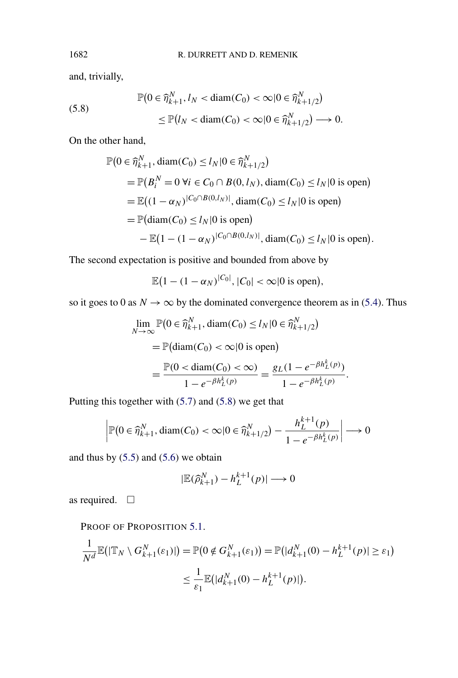and, trivially,

(5.8) 
$$
\mathbb{P}\left(0 \in \widehat{\eta}_{k+1}^N, l_N < \text{diam}(C_0) < \infty | 0 \in \widehat{\eta}_{k+1/2}^N\right) \leq \mathbb{P}\left(l_N < \text{diam}(C_0) < \infty | 0 \in \widehat{\eta}_{k+1/2}^N\right) \longrightarrow 0.
$$

On the other hand,

$$
\mathbb{P}(0 \in \hat{\eta}_{k+1}^N, \text{diam}(C_0) \le l_N | 0 \in \hat{\eta}_{k+1/2}^N)
$$
  
=  $\mathbb{P}(B_i^N = 0 \ \forall i \in C_0 \cap B(0, l_N), \text{diam}(C_0) \le l_N | 0 \text{ is open})$   
=  $\mathbb{E}((1 - \alpha_N)^{|C_0 \cap B(0, l_N)|}, \text{diam}(C_0) \le l_N | 0 \text{ is open})$   
=  $\mathbb{P}(\text{diam}(C_0) \le l_N | 0 \text{ is open})$   
-  $\mathbb{E}(1 - (1 - \alpha_N)^{|C_0 \cap B(0, l_N)|}, \text{diam}(C_0) \le l_N | 0 \text{ is open}).$ 

The second expectation is positive and bounded from above by

$$
\mathbb{E}\big(1-(1-\alpha_N)^{|C_0|}, |C_0| < \infty |0 \text{ is open}\big),
$$

so it goes to 0 as  $N \to \infty$  by the dominated convergence theorem as in [\(5.4\)](#page-25-0). Thus

$$
\lim_{N \to \infty} \mathbb{P}\left(0 \in \widehat{\eta}_{k+1}^N, \operatorname{diam}(C_0) \le l_N | 0 \in \widehat{\eta}_{k+1/2}^N\right)
$$
\n
$$
= \mathbb{P}(\operatorname{diam}(C_0) < \infty | 0 \text{ is open})
$$
\n
$$
= \frac{\mathbb{P}(0 < \operatorname{diam}(C_0) < \infty)}{1 - e^{-\beta h_L^k(p)}} = \frac{g_L (1 - e^{-\beta h_L^k(p)})}{1 - e^{-\beta h_L^k(p)}}.
$$

Putting this together with [\(5.7\)](#page-25-0) and (5.8) we get that

$$
\left|\mathbb{P}\left(0 \in \widehat{\eta}_{k+1}^N, \text{diam}(C_0) < \infty | 0 \in \widehat{\eta}_{k+1/2}^N\right) - \frac{h_L^{k+1}(p)}{1 - e^{-\beta h_L^k(p)}}\right| \longrightarrow 0
$$

and thus by  $(5.5)$  and  $(5.6)$  we obtain

$$
|\mathbb{E}(\widehat{\rho}_{k+1}^N)-h_L^{k+1}(p)|\longrightarrow 0
$$

as required.  $\Box$ 

PROOF OF PROPOSITION [5.1.](#page-20-0)

$$
\frac{1}{N^d} \mathbb{E}(|\mathbb{T}_N \setminus G_{k+1}^N(\varepsilon_1)|) = \mathbb{P}(0 \notin G_{k+1}^N(\varepsilon_1)) = \mathbb{P}(|d_{k+1}^N(0) - h_L^{k+1}(p)| \ge \varepsilon_1)
$$
  

$$
\le \frac{1}{\varepsilon_1} \mathbb{E}(|d_{k+1}^N(0) - h_L^{k+1}(p)|).
$$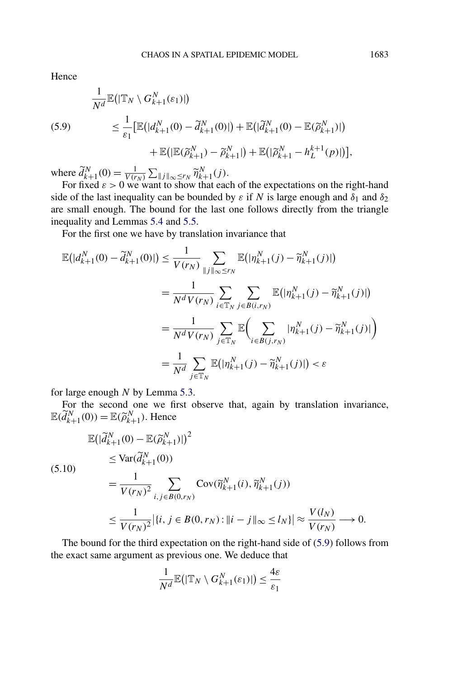<span id="page-27-0"></span>Hence

(5.9)  
\n
$$
\frac{1}{N^{d}} \mathbb{E}(|\mathbb{T}_{N} \setminus G_{k+1}^{N}(\varepsilon_{1})|)
$$
\n
$$
\leq \frac{1}{\varepsilon_{1}} [\mathbb{E}(|d_{k+1}^{N}(0) - \tilde{d}_{k+1}^{N}(0)|) + \mathbb{E}(|\tilde{d}_{k+1}^{N}(0) - \mathbb{E}(\tilde{\rho}_{k+1}^{N})|)
$$
\n
$$
+ \mathbb{E}(|\mathbb{E}(\tilde{\rho}_{k+1}^{N}) - \tilde{\rho}_{k+1}^{N}|) + \mathbb{E}(|\tilde{\rho}_{k+1}^{N} - h_{L}^{k+1}(p)|)]
$$

where  $\tilde{d}_{k+1}^{N}(0) = \frac{1}{V(r_N)} \sum_{\|j\|_{\infty} \leq r_N} \tilde{\eta}_{k+1}^{N}(j).$ 

For fixed  $\varepsilon > 0$  we want to show that each of the expectations on the right-hand side of the last inequality can be bounded by  $\varepsilon$  if *N* is large enough and  $\delta_1$  and  $\delta_2$ are small enough. The bound for the last one follows directly from the triangle inequality and Lemmas [5.4](#page-22-0) and [5.5.](#page-25-0)

For the first one we have by translation invariance that

$$
\mathbb{E}(|d_{k+1}^{N}(0) - \tilde{d}_{k+1}^{N}(0)|) \leq \frac{1}{V(r_N)} \sum_{\|j\|_{\infty} \leq r_N} \mathbb{E}(|\eta_{k+1}^{N}(j) - \tilde{\eta}_{k+1}^{N}(j)|)
$$
\n
$$
= \frac{1}{N^d V(r_N)} \sum_{i \in \mathbb{T}_N} \sum_{j \in B(i,r_N)} \mathbb{E}(|\eta_{k+1}^{N}(j) - \tilde{\eta}_{k+1}^{N}(j)|)
$$
\n
$$
= \frac{1}{N^d V(r_N)} \sum_{j \in \mathbb{T}_N} \mathbb{E} \Big( \sum_{i \in B(j,r_N)} |\eta_{k+1}^{N}(j) - \tilde{\eta}_{k+1}^{N}(j)| \Big)
$$
\n
$$
= \frac{1}{N^d} \sum_{j \in \mathbb{T}_N} \mathbb{E}(|\eta_{k+1}^{N}(j) - \tilde{\eta}_{k+1}^{N}(j)|) < \varepsilon
$$

for large enough *N* by Lemma [5.3.](#page-21-0)

For the second one we first observe that, again by translation invariance,  $\mathbb{E}(\widetilde{d}_{k+1}^N(0)) = \mathbb{E}(\widetilde{\rho}_{k+1}^N)$ . Hence

$$
\mathbb{E}\left(|\tilde{d}_{k+1}^{N}(0) - \mathbb{E}(\tilde{\rho}_{k+1}^{N})|\right)^{2}
$$
\n
$$
\leq \text{Var}(\tilde{d}_{k+1}^{N}(0))
$$
\n
$$
= \frac{1}{V(r_{N})^{2}} \sum_{i,j \in B(0,r_{N})} \text{Cov}(\tilde{\eta}_{k+1}^{N}(i), \tilde{\eta}_{k+1}^{N}(j))
$$
\n
$$
\leq \frac{1}{V(r_{N})^{2}} \left| \{i, j \in B(0, r_{N}) : ||i - j||_{\infty} \leq l_{N} \} \right| \approx \frac{V(l_{N})}{V(r_{N})} \longrightarrow 0.
$$

The bound for the third expectation on the right-hand side of (5.9) follows from the exact same argument as previous one. We deduce that

$$
\frac{1}{N^d}\mathbb{E}\big(|\mathbb{T}_N\setminus G_{k+1}^N(\varepsilon_1)|\big)\leq \frac{4\varepsilon}{\varepsilon_1}
$$

*,*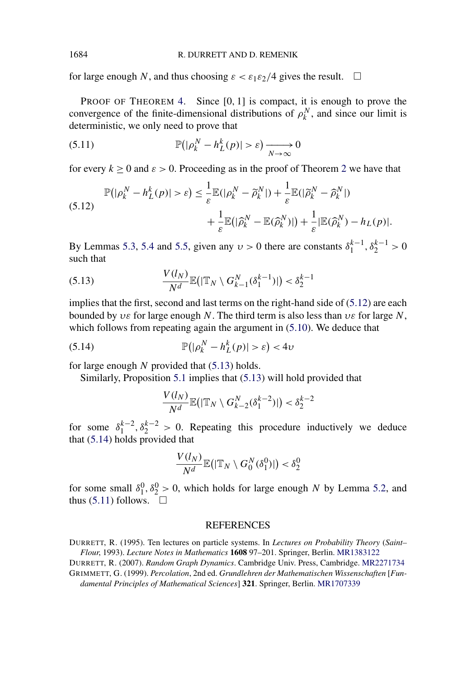<span id="page-28-0"></span>for large enough *N*, and thus choosing  $\varepsilon < \varepsilon_1 \varepsilon_2/4$  gives the result.  $\Box$ 

PROOF OF THEOREM [4.](#page-7-0) Since [0*,* 1] is compact, it is enough to prove the convergence of the finite-dimensional distributions of  $\rho_k^N$ , and since our limit is deterministic, we only need to prove that

(5.11) 
$$
\mathbb{P}(|\rho_k^N - h_L^k(p)| > \varepsilon) \xrightarrow[N \to \infty]{} 0
$$

for every  $k > 0$  and  $\varepsilon > 0$ . Proceeding as in the proof of Theorem [2](#page-5-0) we have that

(5.12) 
$$
\mathbb{P}(|\rho_k^N - h_L^k(p)| > \varepsilon) \leq \frac{1}{\varepsilon} \mathbb{E}(|\rho_k^N - \widetilde{\rho}_k^N|) + \frac{1}{\varepsilon} \mathbb{E}(|\widetilde{\rho}_k^N - \widehat{\rho}_k^N|) + \frac{1}{\varepsilon} \mathbb{E}(|\widehat{\rho}_k^N - \widehat{\rho}_k^N)|) + \frac{1}{\varepsilon} |\mathbb{E}(\widehat{\rho}_k^N) - h_L(p)|.
$$

By Lemmas [5.3,](#page-21-0) [5.4](#page-22-0) and [5.5,](#page-25-0) given any  $v > 0$  there are constants  $\delta_1^{k-1}, \delta_2^{k-1} > 0$ such that

(5.13) 
$$
\frac{V(l_N)}{N^d} \mathbb{E}(|\mathbb{T}_N \setminus G_{k-1}^N(\delta_1^{k-1})|) < \delta_2^{k-1}
$$

implies that the first, second and last terms on the right-hand side of  $(5.12)$  are each bounded by *υε* for large enough *N*. The third term is also less than *υε* for large *N*, which follows from repeating again the argument in  $(5.10)$ . We deduce that

$$
\mathbb{P}(|\rho_k^N - h_L^k(p)| > \varepsilon) < 4\nu
$$

for large enough *N* provided that (5.13) holds.

Similarly, Proposition [5.1](#page-20-0) implies that (5.13) will hold provided that

$$
\frac{V(l_N)}{N^d}\mathbb{E}\big(|\mathbb{T}_N\setminus G_{k-2}^N(\delta_1^{k-2})|\big)<\delta_2^{k-2}
$$

for some  $\delta_1^{k-2}, \delta_2^{k-2} > 0$ . Repeating this procedure inductively we deduce that (5.14) holds provided that

$$
\frac{V(l_N)}{N^d}\mathbb{E}\big(|\mathbb{T}_N\setminus G_0^N(\delta_1^0)|\big)<\delta_2^0
$$

for some small  $\delta_1^0$ ,  $\delta_2^0 > 0$ , which holds for large enough *N* by Lemma [5.2,](#page-20-0) and thus  $(5.11)$  follows.  $\Box$ 

## **REFERENCES**

DURRETT, R. (1995). Ten lectures on particle systems. In *Lectures on Probability Theory* (*Saint– Flour*, 1993). *Lecture Notes in Mathematics* **1608** 97–201. Springer, Berlin. [MR1383122](http://www.ams.org/mathscinet-getitem?mr=1383122)

DURRETT, R. (2007). *Random Graph Dynamics*. Cambridge Univ. Press, Cambridge. [MR2271734](http://www.ams.org/mathscinet-getitem?mr=2271734)

GRIMMETT, G. (1999). *Percolation*, 2nd ed. *Grundlehren der Mathematischen Wissenschaften* [*Fundamental Principles of Mathematical Sciences*] **321**. Springer, Berlin. [MR1707339](http://www.ams.org/mathscinet-getitem?mr=1707339)